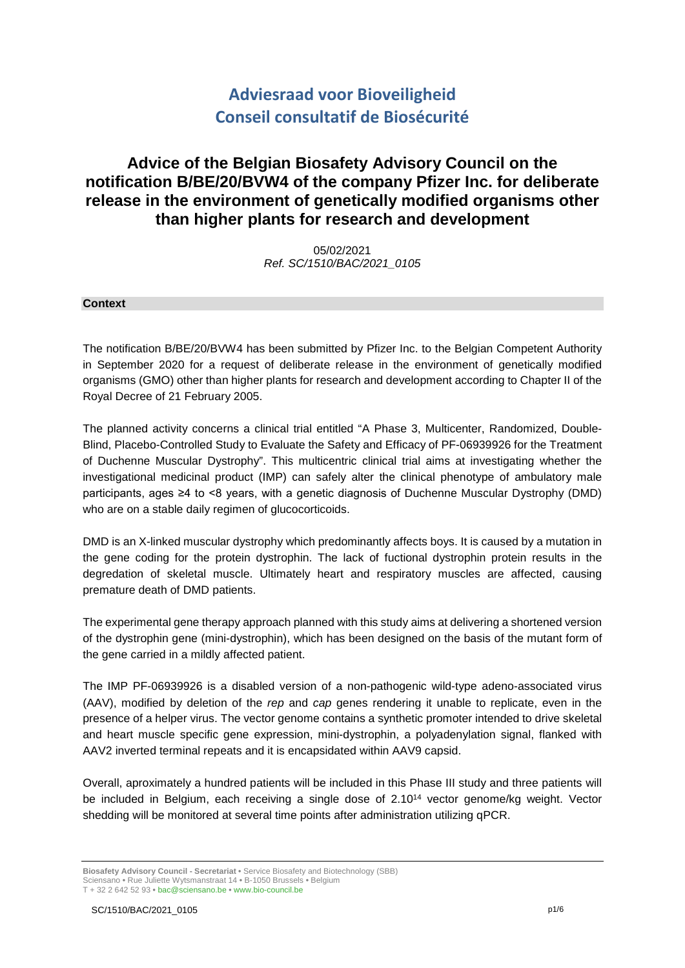# **Adviesraad voor Bioveiligheid Conseil consultatif de Biosécurité**

## **Advice of the Belgian Biosafety Advisory Council on the notification B/BE/20/BVW4 of the company Pfizer Inc. for deliberate release in the environment of genetically modified organisms other than higher plants for research and development**

05/02/2021 *Ref. SC/1510/BAC/2021\_0105*

#### **Context**

The notification B/BE/20/BVW4 has been submitted by Pfizer Inc. to the Belgian Competent Authority in September 2020 for a request of deliberate release in the environment of genetically modified organisms (GMO) other than higher plants for research and development according to Chapter II of the Royal Decree of 21 February 2005.

The planned activity concerns a clinical trial entitled "A Phase 3, Multicenter, Randomized, Double-Blind, Placebo-Controlled Study to Evaluate the Safety and Efficacy of PF-06939926 for the Treatment of Duchenne Muscular Dystrophy". This multicentric clinical trial aims at investigating whether the investigational medicinal product (IMP) can safely alter the clinical phenotype of ambulatory male participants, ages ≥4 to <8 years, with a genetic diagnosis of Duchenne Muscular Dystrophy (DMD) who are on a stable daily regimen of glucocorticoids.

DMD is an X-linked muscular dystrophy which predominantly affects boys. It is caused by a mutation in the gene coding for the protein dystrophin. The lack of fuctional dystrophin protein results in the degredation of skeletal muscle. Ultimately heart and respiratory muscles are affected, causing premature death of DMD patients.

The experimental gene therapy approach planned with this study aims at delivering a shortened version of the dystrophin gene (mini-dystrophin), which has been designed on the basis of the mutant form of the gene carried in a mildly affected patient.

The IMP PF-06939926 is a disabled version of a non-pathogenic wild-type adeno-associated virus (AAV), modified by deletion of the *rep* and *cap* genes rendering it unable to replicate, even in the presence of a helper virus. The vector genome contains a synthetic promoter intended to drive skeletal and heart muscle specific gene expression, mini-dystrophin, a polyadenylation signal, flanked with AAV2 inverted terminal repeats and it is encapsidated within AAV9 capsid.

Overall, aproximately a hundred patients will be included in this Phase III study and three patients will be included in Belgium, each receiving a single dose of 2.10<sup>14</sup> vector genome/kg weight. Vector shedding will be monitored at several time points after administration utilizing qPCR.

**Biosafety Advisory Council - Secretariat •** Service Biosafety and Biotechnology (SBB) Sciensano **•** Rue Juliette Wytsmanstraat 14 **•** B-1050 Brussels **•** Belgium T + 32 2 642 52 93 **•** bac@sciensano.be **•** www.bio-council.be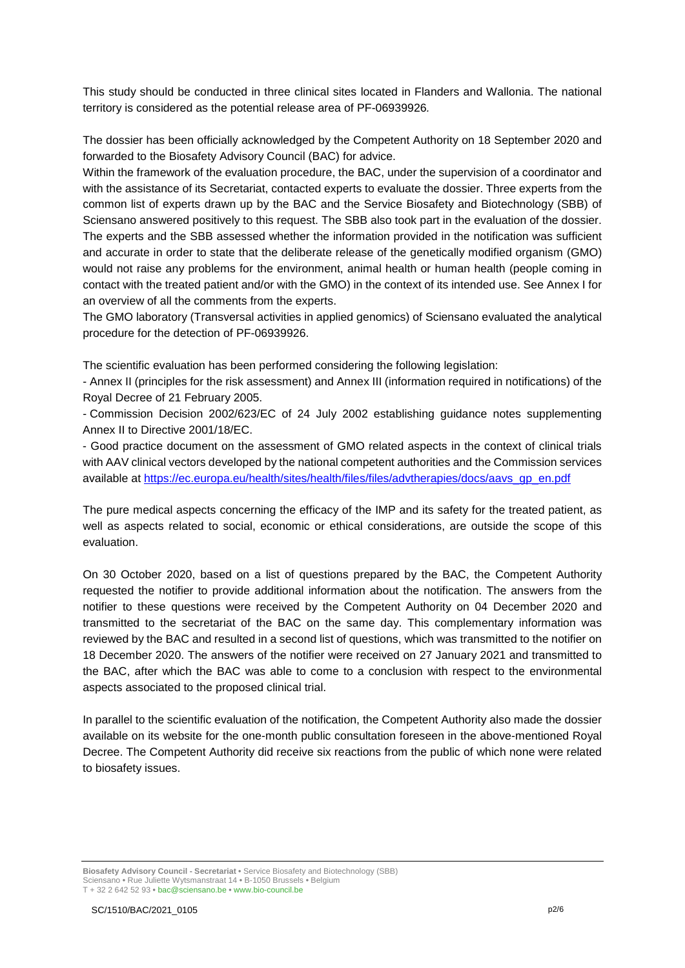This study should be conducted in three clinical sites located in Flanders and Wallonia. The national territory is considered as the potential release area of PF-06939926*.*

The dossier has been officially acknowledged by the Competent Authority on 18 September 2020 and forwarded to the Biosafety Advisory Council (BAC) for advice.

Within the framework of the evaluation procedure, the BAC, under the supervision of a coordinator and with the assistance of its Secretariat, contacted experts to evaluate the dossier. Three experts from the common list of experts drawn up by the BAC and the Service Biosafety and Biotechnology (SBB) of Sciensano answered positively to this request. The SBB also took part in the evaluation of the dossier. The experts and the SBB assessed whether the information provided in the notification was sufficient and accurate in order to state that the deliberate release of the genetically modified organism (GMO) would not raise any problems for the environment, animal health or human health (people coming in contact with the treated patient and/or with the GMO) in the context of its intended use. See Annex I for an overview of all the comments from the experts.

The GMO laboratory (Transversal activities in applied genomics) of Sciensano evaluated the analytical procedure for the detection of PF-06939926.

The scientific evaluation has been performed considering the following legislation:

- Annex II (principles for the risk assessment) and Annex III (information required in notifications) of the Royal Decree of 21 February 2005.

- Commission Decision 2002/623/EC of 24 July 2002 establishing guidance notes supplementing Annex II to Directive 2001/18/EC.

- Good practice document on the assessment of GMO related aspects in the context of clinical trials with AAV clinical vectors developed by the national competent authorities and the Commission services available at [https://ec.europa.eu/health/sites/health/files/files/advtherapies/docs/aavs\\_gp\\_en.pdf](https://ec.europa.eu/health/sites/health/files/files/advtherapies/docs/aavs_gp_en.pdf)

The pure medical aspects concerning the efficacy of the IMP and its safety for the treated patient, as well as aspects related to social, economic or ethical considerations, are outside the scope of this evaluation.

On 30 October 2020, based on a list of questions prepared by the BAC, the Competent Authority requested the notifier to provide additional information about the notification. The answers from the notifier to these questions were received by the Competent Authority on 04 December 2020 and transmitted to the secretariat of the BAC on the same day. This complementary information was reviewed by the BAC and resulted in a second list of questions, which was transmitted to the notifier on 18 December 2020. The answers of the notifier were received on 27 January 2021 and transmitted to the BAC, after which the BAC was able to come to a conclusion with respect to the environmental aspects associated to the proposed clinical trial.

In parallel to the scientific evaluation of the notification, the Competent Authority also made the dossier available on its website for the one-month public consultation foreseen in the above-mentioned Royal Decree. The Competent Authority did receive six reactions from the public of which none were related to biosafety issues.

**Biosafety Advisory Council - Secretariat •** Service Biosafety and Biotechnology (SBB) Sciensano **•** Rue Juliette Wytsmanstraat 14 **•** B-1050 Brussels **•** Belgium T + 32 2 642 52 93 **•** bac@sciensano.be **•** www.bio-council.be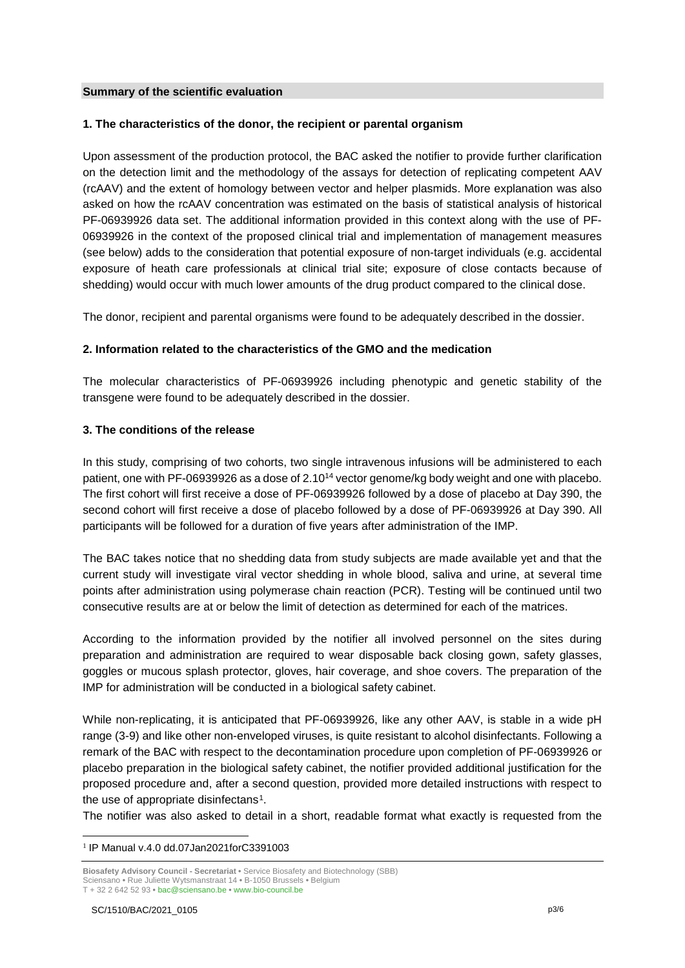#### **Summary of the scientific evaluation**

## **1. The characteristics of the donor, the recipient or parental organism**

Upon assessment of the production protocol, the BAC asked the notifier to provide further clarification on the detection limit and the methodology of the assays for detection of replicating competent AAV (rcAAV) and the extent of homology between vector and helper plasmids. More explanation was also asked on how the rcAAV concentration was estimated on the basis of statistical analysis of historical PF-06939926 data set. The additional information provided in this context along with the use of PF-06939926 in the context of the proposed clinical trial and implementation of management measures (see below) adds to the consideration that potential exposure of non-target individuals (e.g. accidental exposure of heath care professionals at clinical trial site; exposure of close contacts because of shedding) would occur with much lower amounts of the drug product compared to the clinical dose.

The donor, recipient and parental organisms were found to be adequately described in the dossier.

## **2. Information related to the characteristics of the GMO and the medication**

The molecular characteristics of PF-06939926 including phenotypic and genetic stability of the transgene were found to be adequately described in the dossier.

### **3. The conditions of the release**

In this study, comprising of two cohorts, two single intravenous infusions will be administered to each patient, one with PF-06939926 as a dose of 2.10<sup>14</sup> vector genome/kg body weight and one with placebo. The first cohort will first receive a dose of PF-06939926 followed by a dose of placebo at Day 390, the second cohort will first receive a dose of placebo followed by a dose of PF-06939926 at Day 390. All participants will be followed for a duration of five years after administration of the IMP.

The BAC takes notice that no shedding data from study subjects are made available yet and that the current study will investigate viral vector shedding in whole blood, saliva and urine, at several time points after administration using polymerase chain reaction (PCR). Testing will be continued until two consecutive results are at or below the limit of detection as determined for each of the matrices.

According to the information provided by the notifier all involved personnel on the sites during preparation and administration are required to wear disposable back closing gown, safety glasses, goggles or mucous splash protector, gloves, hair coverage, and shoe covers. The preparation of the IMP for administration will be conducted in a biological safety cabinet.

While non-replicating, it is anticipated that PF-06939926, like any other AAV, is stable in a wide pH range (3-9) and like other non-enveloped viruses, is quite resistant to alcohol disinfectants. Following a remark of the BAC with respect to the decontamination procedure upon completion of PF-06939926 or placebo preparation in the biological safety cabinet, the notifier provided additional justification for the proposed procedure and, after a second question, provided more detailed instructions with respect to the use of appropriate disinfectans<sup>1</sup>.

The notifier was also asked to detail in a short, readable format what exactly is requested from the

<span id="page-2-0"></span> <sup>1</sup> IP Manual v.4.0 dd.07Jan2021forC3391003

**Biosafety Advisory Council - Secretariat •** Service Biosafety and Biotechnology (SBB) Sciensano **•** Rue Juliette Wytsmanstraat 14 **•** B-1050 Brussels **•** Belgium T + 32 2 642 52 93 **•** bac@sciensano.be **•** www.bio-council.be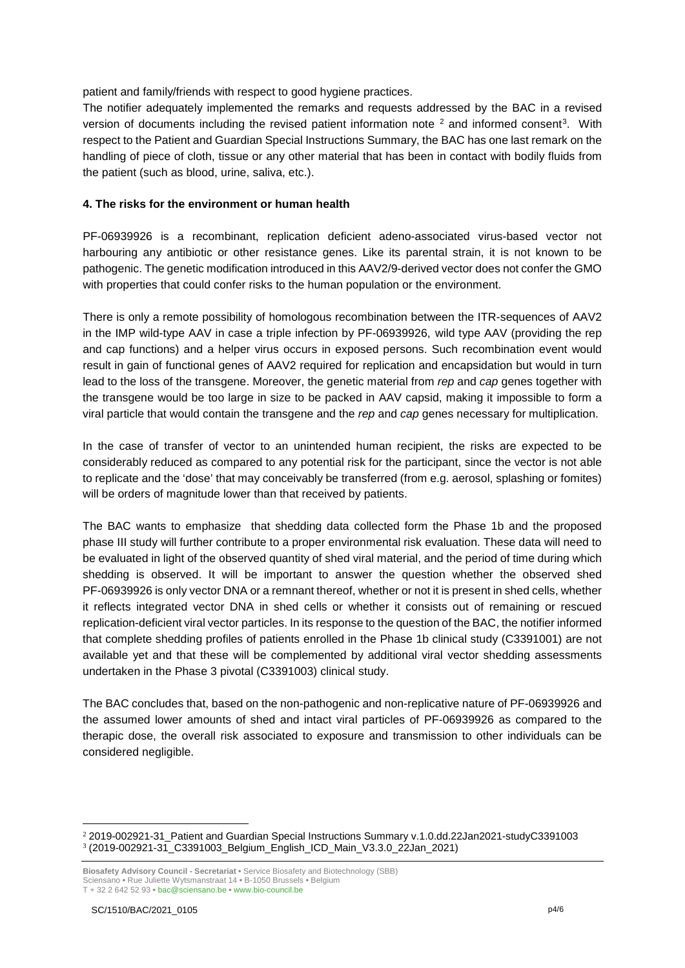patient and family/friends with respect to good hygiene practices.

The notifier adequately implemented the remarks and requests addressed by the BAC in a revised version of documents including the revised patient information note [2](#page-3-0) and informed consent[3.](#page-3-1) With respect to the Patient and Guardian Special Instructions Summary, the BAC has one last remark on the handling of piece of cloth, tissue or any other material that has been in contact with bodily fluids from the patient (such as blood, urine, saliva, etc.).

## **4. The risks for the environment or human health**

PF-06939926 is a recombinant, replication deficient adeno-associated virus-based vector not harbouring any antibiotic or other resistance genes. Like its parental strain, it is not known to be pathogenic. The genetic modification introduced in this AAV2/9-derived vector does not confer the GMO with properties that could confer risks to the human population or the environment.

There is only a remote possibility of homologous recombination between the ITR-sequences of AAV2 in the IMP wild-type AAV in case a triple infection by PF-06939926, wild type AAV (providing the rep and cap functions) and a helper virus occurs in exposed persons. Such recombination event would result in gain of functional genes of AAV2 required for replication and encapsidation but would in turn lead to the loss of the transgene. Moreover, the genetic material from *rep* and *cap* genes together with the transgene would be too large in size to be packed in AAV capsid, making it impossible to form a viral particle that would contain the transgene and the *rep* and *cap* genes necessary for multiplication.

In the case of transfer of vector to an unintended human recipient, the risks are expected to be considerably reduced as compared to any potential risk for the participant, since the vector is not able to replicate and the 'dose' that may conceivably be transferred (from e.g. aerosol, splashing or fomites) will be orders of magnitude lower than that received by patients.

The BAC wants to emphasize that shedding data collected form the Phase 1b and the proposed phase III study will further contribute to a proper environmental risk evaluation. These data will need to be evaluated in light of the observed quantity of shed viral material, and the period of time during which shedding is observed. It will be important to answer the question whether the observed shed PF-06939926 is only vector DNA or a remnant thereof, whether or not it is present in shed cells, whether it reflects integrated vector DNA in shed cells or whether it consists out of remaining or rescued replication-deficient viral vector particles. In its response to the question of the BAC, the notifier informed that complete shedding profiles of patients enrolled in the Phase 1b clinical study (C3391001) are not available yet and that these will be complemented by additional viral vector shedding assessments undertaken in the Phase 3 pivotal (C3391003) clinical study.

The BAC concludes that, based on the non-pathogenic and non-replicative nature of PF-06939926 and the assumed lower amounts of shed and intact viral particles of PF-06939926 as compared to the therapic dose, the overall risk associated to exposure and transmission to other individuals can be considered negligible.

<span id="page-3-1"></span><span id="page-3-0"></span> <sup>2</sup> 2019-002921-31\_Patient and Guardian Special Instructions Summary v.1.0.dd.22Jan2021-studyC3391003 <sup>3</sup> (2019-002921-31\_C3391003\_Belgium\_English\_ICD\_Main\_V3.3.0\_22Jan\_2021)

**Biosafety Advisory Council - Secretariat •** Service Biosafety and Biotechnology (SBB) Sciensano **•** Rue Juliette Wytsmanstraat 14 **•** B-1050 Brussels **•** Belgium T + 32 2 642 52 93 **•** bac@sciensano.be **•** www.bio-council.be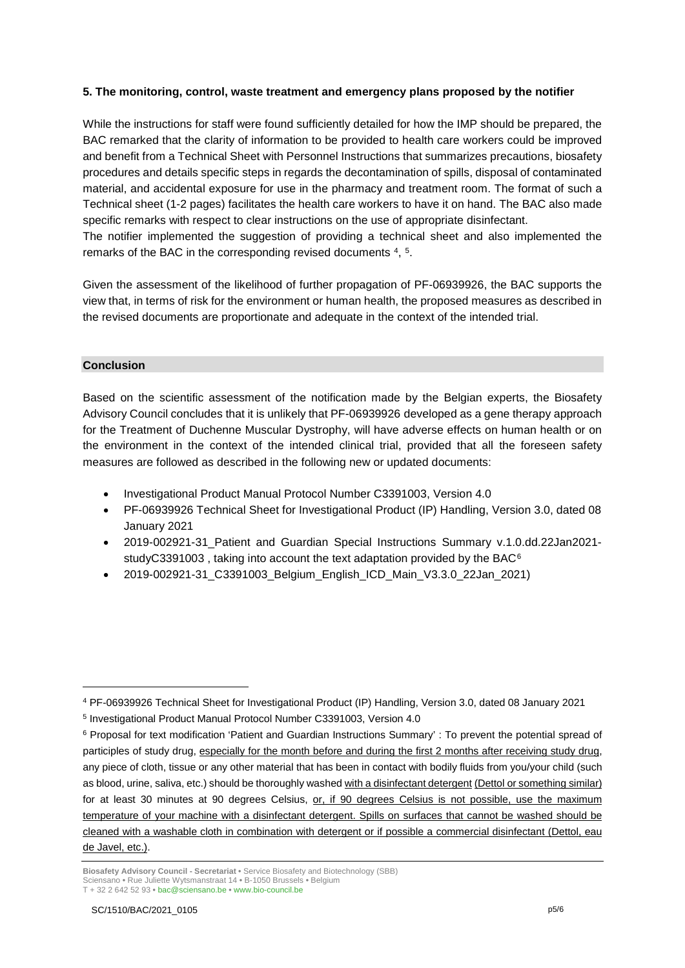## **5. The monitoring, control, waste treatment and emergency plans proposed by the notifier**

While the instructions for staff were found sufficiently detailed for how the IMP should be prepared, the BAC remarked that the clarity of information to be provided to health care workers could be improved and benefit from a Technical Sheet with Personnel Instructions that summarizes precautions, biosafety procedures and details specific steps in regards the decontamination of spills, disposal of contaminated material, and accidental exposure for use in the pharmacy and treatment room. The format of such a Technical sheet (1-2 pages) facilitates the health care workers to have it on hand. The BAC also made specific remarks with respect to clear instructions on the use of appropriate disinfectant.

The notifier implemented the suggestion of providing a technical sheet and also implemented the remarks of the BAC in the corresponding revised documents  $4, 5$  $4, 5$ .

Given the assessment of the likelihood of further propagation of PF-06939926, the BAC supports the view that, in terms of risk for the environment or human health, the proposed measures as described in the revised documents are proportionate and adequate in the context of the intended trial.

## **Conclusion**

<u>.</u>

Based on the scientific assessment of the notification made by the Belgian experts, the Biosafety Advisory Council concludes that it is unlikely that PF-06939926 developed as a gene therapy approach for the Treatment of Duchenne Muscular Dystrophy, will have adverse effects on human health or on the environment in the context of the intended clinical trial, provided that all the foreseen safety measures are followed as described in the following new or updated documents:

- Investigational Product Manual Protocol Number C3391003, Version 4.0
- PF-06939926 Technical Sheet for Investigational Product (IP) Handling, Version 3.0, dated 08 January 2021
- 2019-002921-31 Patient and Guardian Special Instructions Summary v.1.0.dd.22Jan2021-studyC3391003, taking into account the text adaptation provided by the BAC<sup>[6](#page-4-2)</sup>
- 2019-002921-31\_C3391003\_Belgium\_English\_ICD\_Main\_V3.3.0\_22Jan\_2021)

<span id="page-4-0"></span><sup>4</sup> PF-06939926 Technical Sheet for Investigational Product (IP) Handling, Version 3.0, dated 08 January 2021

<span id="page-4-1"></span><sup>5</sup> Investigational Product Manual Protocol Number C3391003, Version 4.0

<span id="page-4-2"></span><sup>6</sup> Proposal for text modification 'Patient and Guardian Instructions Summary' : To prevent the potential spread of participles of study drug, especially for the month before and during the first 2 months after receiving study drug, any piece of cloth, tissue or any other material that has been in contact with bodily fluids from you/your child (such as blood, urine, saliva, etc.) should be thoroughly washed with a disinfectant detergent (Dettol or something similar) for at least 30 minutes at 90 degrees Celsius, or, if 90 degrees Celsius is not possible, use the maximum temperature of your machine with a disinfectant detergent. Spills on surfaces that cannot be washed should be cleaned with a washable cloth in combination with detergent or if possible a commercial disinfectant (Dettol, eau de Javel, etc.).

**Biosafety Advisory Council - Secretariat •** Service Biosafety and Biotechnology (SBB) Sciensano **•** Rue Juliette Wytsmanstraat 14 **•** B-1050 Brussels **•** Belgium T + 32 2 642 52 93 **•** bac@sciensano.be **•** www.bio-council.be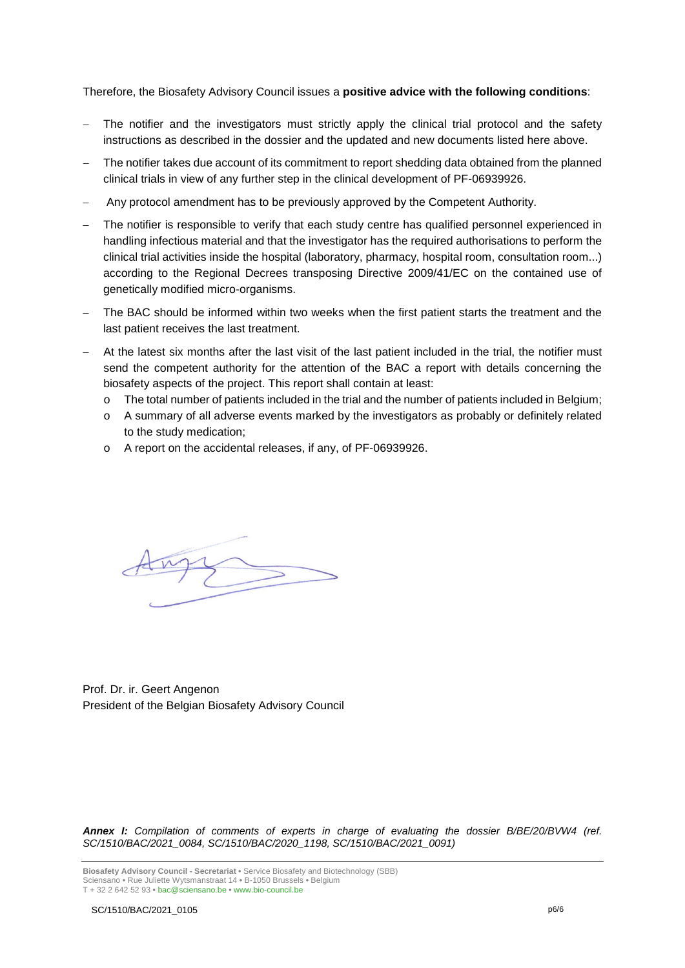Therefore, the Biosafety Advisory Council issues a **positive advice with the following conditions**:

- The notifier and the investigators must strictly apply the clinical trial protocol and the safety instructions as described in the dossier and the updated and new documents listed here above.
- The notifier takes due account of its commitment to report shedding data obtained from the planned clinical trials in view of any further step in the clinical development of PF-06939926.
- Any protocol amendment has to be previously approved by the Competent Authority.
- The notifier is responsible to verify that each study centre has qualified personnel experienced in handling infectious material and that the investigator has the required authorisations to perform the clinical trial activities inside the hospital (laboratory, pharmacy, hospital room, consultation room...) according to the Regional Decrees transposing Directive 2009/41/EC on the contained use of genetically modified micro-organisms.
- The BAC should be informed within two weeks when the first patient starts the treatment and the last patient receives the last treatment.
- At the latest six months after the last visit of the last patient included in the trial, the notifier must send the competent authority for the attention of the BAC a report with details concerning the biosafety aspects of the project. This report shall contain at least:
	- o The total number of patients included in the trial and the number of patients included in Belgium;
	- $\circ$  A summary of all adverse events marked by the investigators as probably or definitely related to the study medication;
	- o A report on the accidental releases, if any, of PF-06939926.



Prof. Dr. ir. Geert Angenon President of the Belgian Biosafety Advisory Council

*Annex I: Compilation of comments of experts in charge of evaluating the dossier B/BE/20/BVW4 (ref. SC/1510/BAC/2021\_0084, SC/1510/BAC/2020\_1198, SC/1510/BAC/2021\_0091)*

**Biosafety Advisory Council - Secretariat •** Service Biosafety and Biotechnology (SBB) Sciensano **•** Rue Juliette Wytsmanstraat 14 **•** B-1050 Brussels **•** Belgium T + 32 2 642 52 93 **•** bac@sciensano.be **•** www.bio-council.be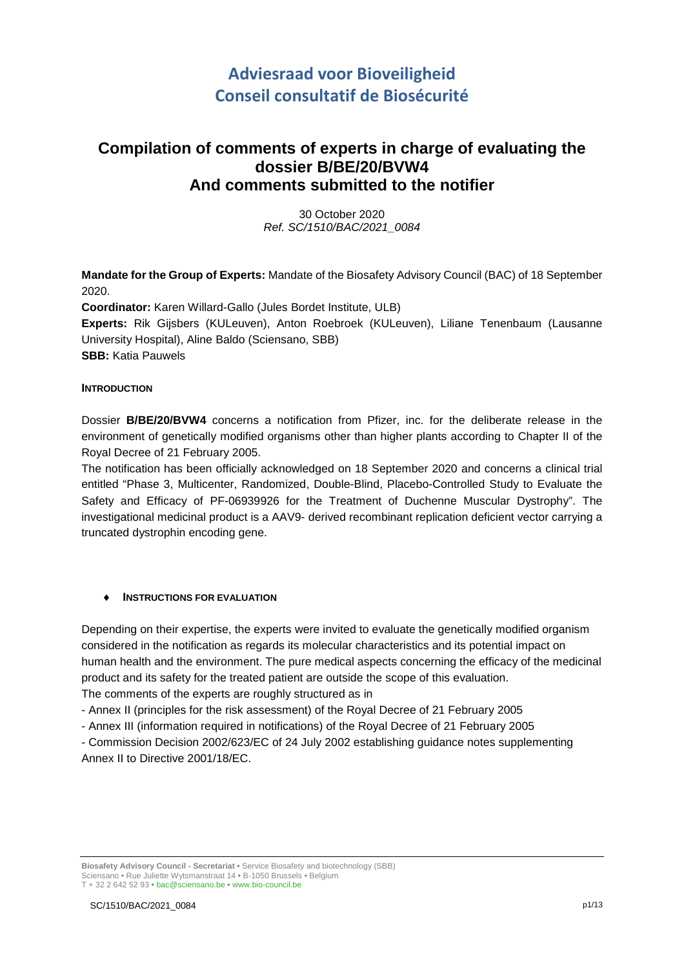# **Adviesraad voor Bioveiligheid Conseil consultatif de Biosécurité**

## **Compilation of comments of experts in charge of evaluating the dossier B/BE/20/BVW4 And comments submitted to the notifier**

30 October 2020 *Ref. SC/1510/BAC/2021\_0084*

**Mandate for the Group of Experts:** Mandate of the Biosafety Advisory Council (BAC) of 18 September 2020.

**Coordinator:** Karen Willard-Gallo (Jules Bordet Institute, ULB)

**Experts:** Rik Gijsbers (KULeuven), Anton Roebroek (KULeuven), Liliane Tenenbaum (Lausanne University Hospital), Aline Baldo (Sciensano, SBB) **SBB:** Katia Pauwels

### **INTRODUCTION**

Dossier **B/BE/20/BVW4** concerns a notification from Pfizer, inc. for the deliberate release in the environment of genetically modified organisms other than higher plants according to Chapter II of the Royal Decree of 21 February 2005.

The notification has been officially acknowledged on 18 September 2020 and concerns a clinical trial entitled "Phase 3, Multicenter, Randomized, Double-Blind, Placebo-Controlled Study to Evaluate the Safety and Efficacy of PF-06939926 for the Treatment of Duchenne Muscular Dystrophy". The investigational medicinal product is a AAV9- derived recombinant replication deficient vector carrying a truncated dystrophin encoding gene.

## **INSTRUCTIONS FOR EVALUATION**

Depending on their expertise, the experts were invited to evaluate the genetically modified organism considered in the notification as regards its molecular characteristics and its potential impact on human health and the environment. The pure medical aspects concerning the efficacy of the medicinal product and its safety for the treated patient are outside the scope of this evaluation.

The comments of the experts are roughly structured as in

- Annex II (principles for the risk assessment) of the Royal Decree of 21 February 2005

- Annex III (information required in notifications) of the Royal Decree of 21 February 2005

- Commission Decision 2002/623/EC of 24 July 2002 establishing guidance notes supplementing Annex II to Directive 2001/18/EC.

**Biosafety Advisory Council - Secretariat •** Service Biosafety and biotechnology (SBB) Sciensano • Rue Juliette Wytsmanstraat 14 **•** B-1050 Brussels **•** Belgium T + 32 2 642 52 93 **•** bac@sciensano.be **•** www.bio-council.be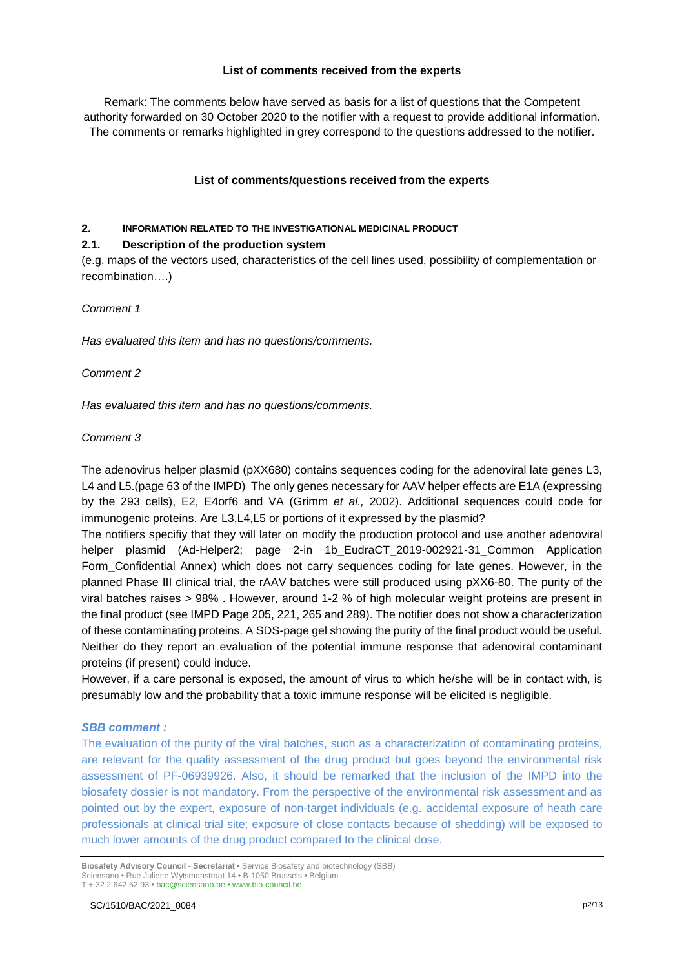## **List of comments received from the experts**

Remark: The comments below have served as basis for a list of questions that the Competent authority forwarded on 30 October 2020 to the notifier with a request to provide additional information. The comments or remarks highlighted in grey correspond to the questions addressed to the notifier.

### **List of comments/questions received from the experts**

### **2. INFORMATION RELATED TO THE INVESTIGATIONAL MEDICINAL PRODUCT**

### **2.1. Description of the production system**

(e.g. maps of the vectors used, characteristics of the cell lines used, possibility of complementation or recombination….)

#### *Comment 1*

*Has evaluated this item and has no questions/comments.*

### *Comment 2*

*Has evaluated this item and has no questions/comments.*

### *Comment 3*

The adenovirus helper plasmid (pXX680) contains sequences coding for the adenoviral late genes L3, L4 and L5.(page 63 of the IMPD) The only genes necessary for AAV helper effects are E1A (expressing by the 293 cells), E2, E4orf6 and VA (Grimm *et al.,* 2002). Additional sequences could code for immunogenic proteins. Are L3,L4,L5 or portions of it expressed by the plasmid?

The notifiers specifiy that they will later on modify the production protocol and use another adenoviral helper plasmid (Ad-Helper2; page 2-in 1b EudraCT 2019-002921-31 Common Application Form\_Confidential Annex) which does not carry sequences coding for late genes. However, in the planned Phase III clinical trial, the rAAV batches were still produced using pXX6-80. The purity of the viral batches raises > 98% . However, around 1-2 % of high molecular weight proteins are present in the final product (see IMPD Page 205, 221, 265 and 289). The notifier does not show a characterization of these contaminating proteins. A SDS-page gel showing the purity of the final product would be useful. Neither do they report an evaluation of the potential immune response that adenoviral contaminant proteins (if present) could induce.

However, if a care personal is exposed, the amount of virus to which he/she will be in contact with, is presumably low and the probability that a toxic immune response will be elicited is negligible.

#### *SBB comment :*

The evaluation of the purity of the viral batches, such as a characterization of contaminating proteins, are relevant for the quality assessment of the drug product but goes beyond the environmental risk assessment of PF-06939926. Also, it should be remarked that the inclusion of the IMPD into the biosafety dossier is not mandatory. From the perspective of the environmental risk assessment and as pointed out by the expert, exposure of non-target individuals (e.g. accidental exposure of heath care professionals at clinical trial site; exposure of close contacts because of shedding) will be exposed to much lower amounts of the drug product compared to the clinical dose.

**Biosafety Advisory Council - Secretariat •** Service Biosafety and biotechnology (SBB) Sciensano • Rue Juliette Wytsmanstraat 14 **•** B-1050 Brussels **•** Belgium T + 32 2 642 52 93 **•** bac@sciensano.be **•** www.bio-council.be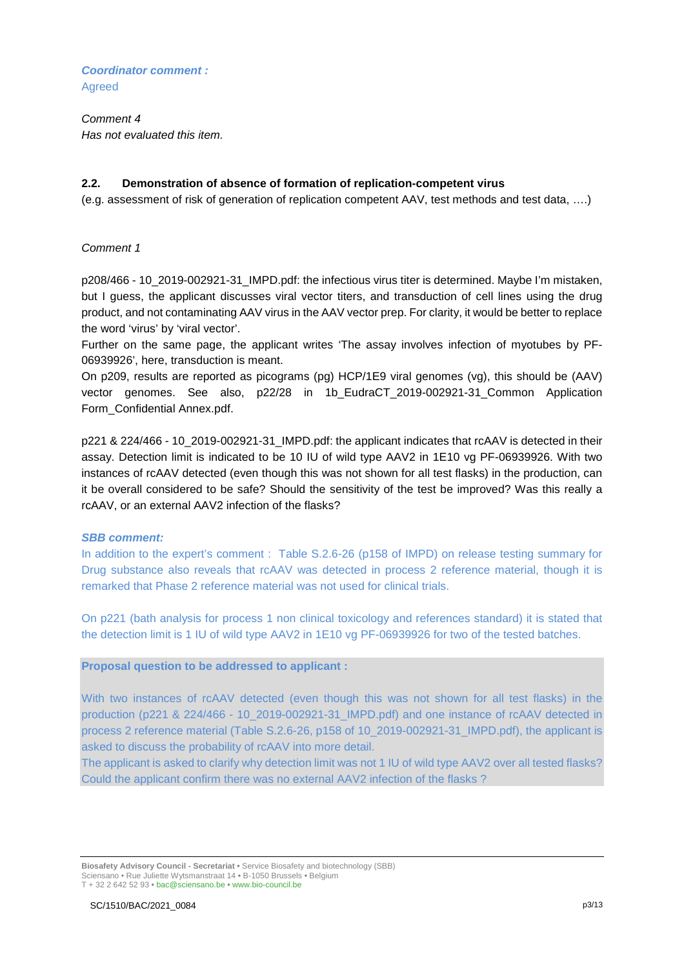*Coordinator comment :*  **Agreed** 

*Comment 4 Has not evaluated this item.*

#### **2.2. Demonstration of absence of formation of replication-competent virus**

(e.g. assessment of risk of generation of replication competent AAV, test methods and test data, ….)

### *Comment 1*

p208/466 - 10\_2019-002921-31\_IMPD.pdf: the infectious virus titer is determined. Maybe I'm mistaken, but I guess, the applicant discusses viral vector titers, and transduction of cell lines using the drug product, and not contaminating AAV virus in the AAV vector prep. For clarity, it would be better to replace the word 'virus' by 'viral vector'.

Further on the same page, the applicant writes 'The assay involves infection of myotubes by PF-06939926', here, transduction is meant.

On p209, results are reported as picograms (pg) HCP/1E9 viral genomes (vg), this should be (AAV) vector genomes. See also, p22/28 in 1b\_EudraCT\_2019-002921-31\_Common Application Form\_Confidential Annex.pdf.

p221 & 224/466 - 10\_2019-002921-31\_IMPD.pdf: the applicant indicates that rcAAV is detected in their assay. Detection limit is indicated to be 10 IU of wild type AAV2 in 1E10 vg PF-06939926. With two instances of rcAAV detected (even though this was not shown for all test flasks) in the production, can it be overall considered to be safe? Should the sensitivity of the test be improved? Was this really a rcAAV, or an external AAV2 infection of the flasks?

#### *SBB comment:*

In addition to the expert's comment : Table S.2.6-26 (p158 of IMPD) on release testing summary for Drug substance also reveals that rcAAV was detected in process 2 reference material, though it is remarked that Phase 2 reference material was not used for clinical trials.

On p221 (bath analysis for process 1 non clinical toxicology and references standard) it is stated that the detection limit is 1 IU of wild type AAV2 in 1E10 vg PF-06939926 for two of the tested batches.

#### **Proposal question to be addressed to applicant :**

With two instances of rcAAV detected (even though this was not shown for all test flasks) in the production (p221 & 224/466 - 10\_2019-002921-31\_IMPD.pdf) and one instance of rcAAV detected in process 2 reference material (Table S.2.6-26, p158 of 10\_2019-002921-31\_IMPD.pdf), the applicant is asked to discuss the probability of rcAAV into more detail.

The applicant is asked to clarify why detection limit was not 1 IU of wild type AAV2 over all tested flasks? Could the applicant confirm there was no external AAV2 infection of the flasks ?

**Biosafety Advisory Council - Secretariat •** Service Biosafety and biotechnology (SBB) Sciensano • Rue Juliette Wytsmanstraat 14 **•** B-1050 Brussels **•** Belgium T + 32 2 642 52 93 **•** bac@sciensano.be **•** www.bio-council.be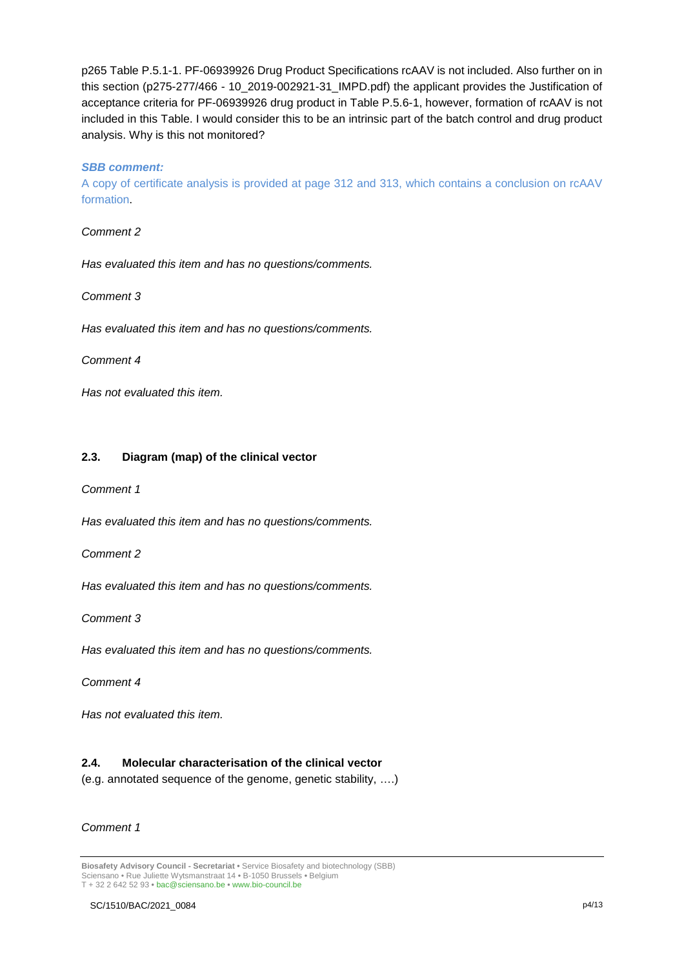p265 Table P.5.1-1. PF-06939926 Drug Product Specifications rcAAV is not included. Also further on in this section (p275-277/466 - 10\_2019-002921-31\_IMPD.pdf) the applicant provides the Justification of acceptance criteria for PF-06939926 drug product in Table P.5.6-1, however, formation of rcAAV is not included in this Table. I would consider this to be an intrinsic part of the batch control and drug product analysis. Why is this not monitored?

### *SBB comment:*

A copy of certificate analysis is provided at page 312 and 313, which contains a conclusion on rcAAV formation.

#### *Comment 2*

*Has evaluated this item and has no questions/comments.*

#### *Comment 3*

*Has evaluated this item and has no questions/comments.*

#### *Comment 4*

*Has not evaluated this item.*

### **2.3. Diagram (map) of the clinical vector**

#### *Comment 1*

*Has evaluated this item and has no questions/comments.*

*Comment 2*

*Has evaluated this item and has no questions/comments.*

*Comment 3*

*Has evaluated this item and has no questions/comments.*

#### *Comment 4*

*Has not evaluated this item.*

## **2.4. Molecular characterisation of the clinical vector**

(e.g. annotated sequence of the genome, genetic stability, ….)

## *Comment 1*

**Biosafety Advisory Council - Secretariat •** Service Biosafety and biotechnology (SBB) Sciensano • Rue Juliette Wytsmanstraat 14 **•** B-1050 Brussels **•** Belgium T + 32 2 642 52 93 **•** bac@sciensano.be **•** www.bio-council.be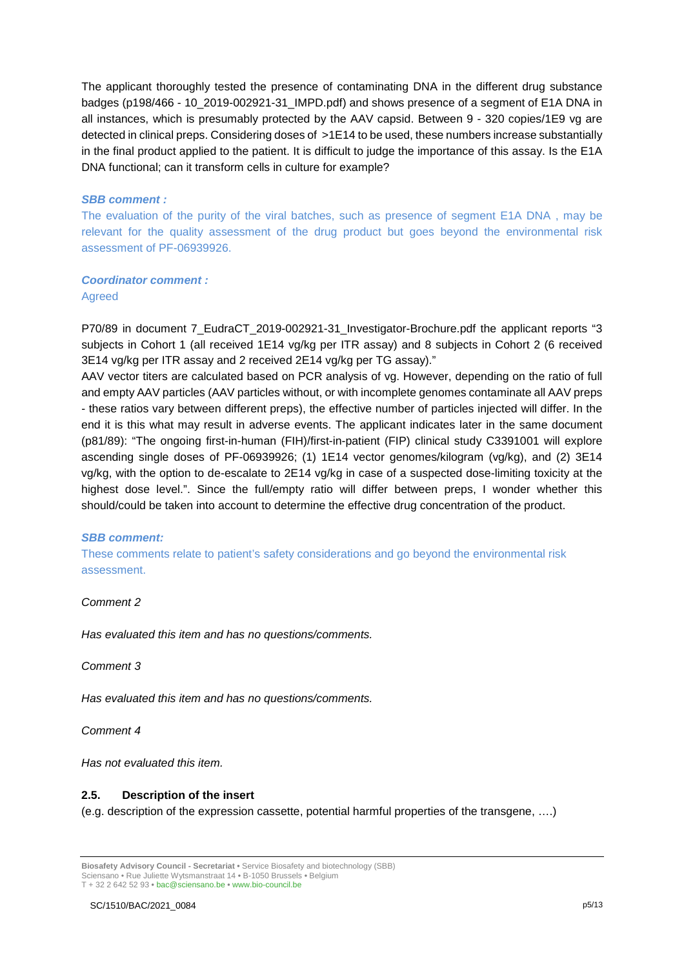The applicant thoroughly tested the presence of contaminating DNA in the different drug substance badges (p198/466 - 10\_2019-002921-31\_IMPD.pdf) and shows presence of a segment of E1A DNA in all instances, which is presumably protected by the AAV capsid. Between 9 - 320 copies/1E9 vg are detected in clinical preps. Considering doses of >1E14 to be used, these numbers increase substantially in the final product applied to the patient. It is difficult to judge the importance of this assay. Is the E1A DNA functional; can it transform cells in culture for example?

### *SBB comment :*

The evaluation of the purity of the viral batches, such as presence of segment E1A DNA , may be relevant for the quality assessment of the drug product but goes beyond the environmental risk assessment of PF-06939926.

## *Coordinator comment :*

Agreed

P70/89 in document 7\_EudraCT\_2019-002921-31\_Investigator-Brochure.pdf the applicant reports "3 subjects in Cohort 1 (all received 1E14 vg/kg per ITR assay) and 8 subjects in Cohort 2 (6 received 3E14 vg/kg per ITR assay and 2 received 2E14 vg/kg per TG assay)."

AAV vector titers are calculated based on PCR analysis of vg. However, depending on the ratio of full and empty AAV particles (AAV particles without, or with incomplete genomes contaminate all AAV preps - these ratios vary between different preps), the effective number of particles injected will differ. In the end it is this what may result in adverse events. The applicant indicates later in the same document (p81/89): "The ongoing first-in-human (FIH)/first-in-patient (FIP) clinical study C3391001 will explore ascending single doses of PF-06939926; (1) 1E14 vector genomes/kilogram (vg/kg), and (2) 3E14 vg/kg, with the option to de-escalate to 2E14 vg/kg in case of a suspected dose-limiting toxicity at the highest dose level.". Since the full/empty ratio will differ between preps, I wonder whether this should/could be taken into account to determine the effective drug concentration of the product.

## *SBB comment:*

These comments relate to patient's safety considerations and go beyond the environmental risk assessment.

## *Comment 2*

*Has evaluated this item and has no questions/comments.*

*Comment 3*

*Has evaluated this item and has no questions/comments.*

*Comment 4* 

*Has not evaluated this item.*

#### **2.5. Description of the insert**

(e.g. description of the expression cassette, potential harmful properties of the transgene, ….)

**Biosafety Advisory Council - Secretariat •** Service Biosafety and biotechnology (SBB) Sciensano • Rue Juliette Wytsmanstraat 14 **•** B-1050 Brussels **•** Belgium

T + 32 2 642 52 93 **•** bac@sciensano.be **•** www.bio-council.be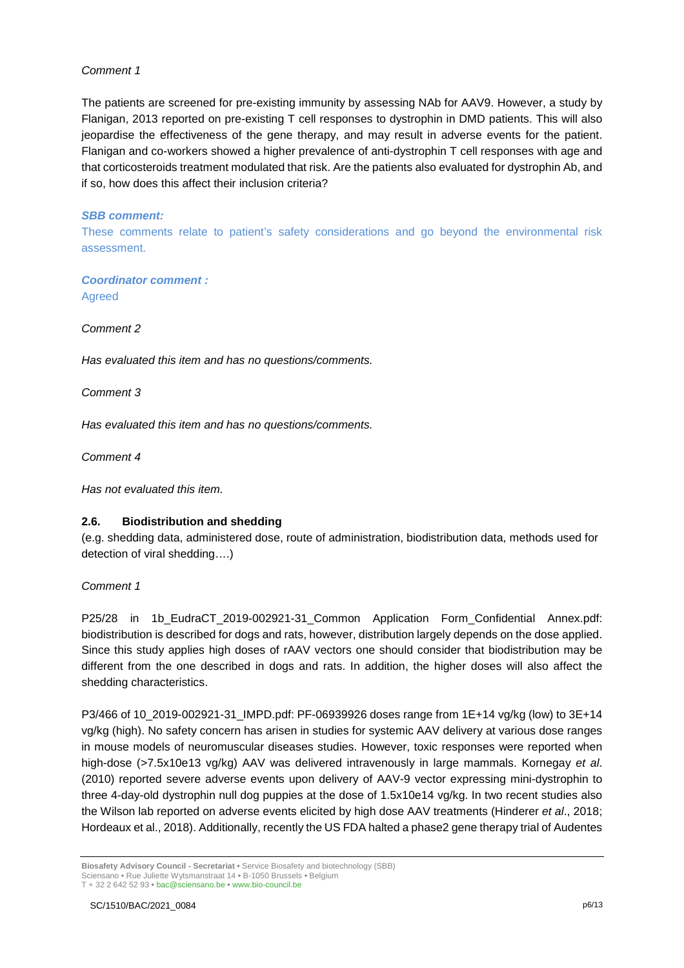## *Comment 1*

The patients are screened for pre-existing immunity by assessing NAb for AAV9. However, a study by Flanigan, 2013 reported on pre-existing T cell responses to dystrophin in DMD patients. This will also jeopardise the effectiveness of the gene therapy, and may result in adverse events for the patient. Flanigan and co-workers showed a higher prevalence of anti-dystrophin T cell responses with age and that corticosteroids treatment modulated that risk. Are the patients also evaluated for dystrophin Ab, and if so, how does this affect their inclusion criteria?

### *SBB comment:*

These comments relate to patient's safety considerations and go beyond the environmental risk assessment.

*Coordinator comment :*  Agreed

*Comment 2*

*Has evaluated this item and has no questions/comments.*

*Comment 3*

*Has evaluated this item and has no questions/comments.*

*Comment 4* 

*Has not evaluated this item.*

## **2.6. Biodistribution and shedding**

(e.g. shedding data, administered dose, route of administration, biodistribution data, methods used for detection of viral shedding….)

## *Comment 1*

P25/28 in 1b\_EudraCT\_2019-002921-31\_Common Application Form\_Confidential Annex.pdf: biodistribution is described for dogs and rats, however, distribution largely depends on the dose applied. Since this study applies high doses of rAAV vectors one should consider that biodistribution may be different from the one described in dogs and rats. In addition, the higher doses will also affect the shedding characteristics.

P3/466 of 10\_2019-002921-31\_IMPD.pdf: PF-06939926 doses range from 1E+14 vg/kg (low) to 3E+14 vg/kg (high). No safety concern has arisen in studies for systemic AAV delivery at various dose ranges in mouse models of neuromuscular diseases studies. However, toxic responses were reported when high-dose (>7.5x10e13 vg/kg) AAV was delivered intravenously in large mammals. Kornegay *et al*. (2010) reported severe adverse events upon delivery of AAV-9 vector expressing mini-dystrophin to three 4-day-old dystrophin null dog puppies at the dose of 1.5x10e14 vg/kg. In two recent studies also the Wilson lab reported on adverse events elicited by high dose AAV treatments (Hinderer *et al*., 2018; Hordeaux et al., 2018). Additionally, recently the US FDA halted a phase2 gene therapy trial of Audentes

**Biosafety Advisory Council - Secretariat •** Service Biosafety and biotechnology (SBB) Sciensano • Rue Juliette Wytsmanstraat 14 **•** B-1050 Brussels **•** Belgium T + 32 2 642 52 93 **•** bac@sciensano.be **•** www.bio-council.be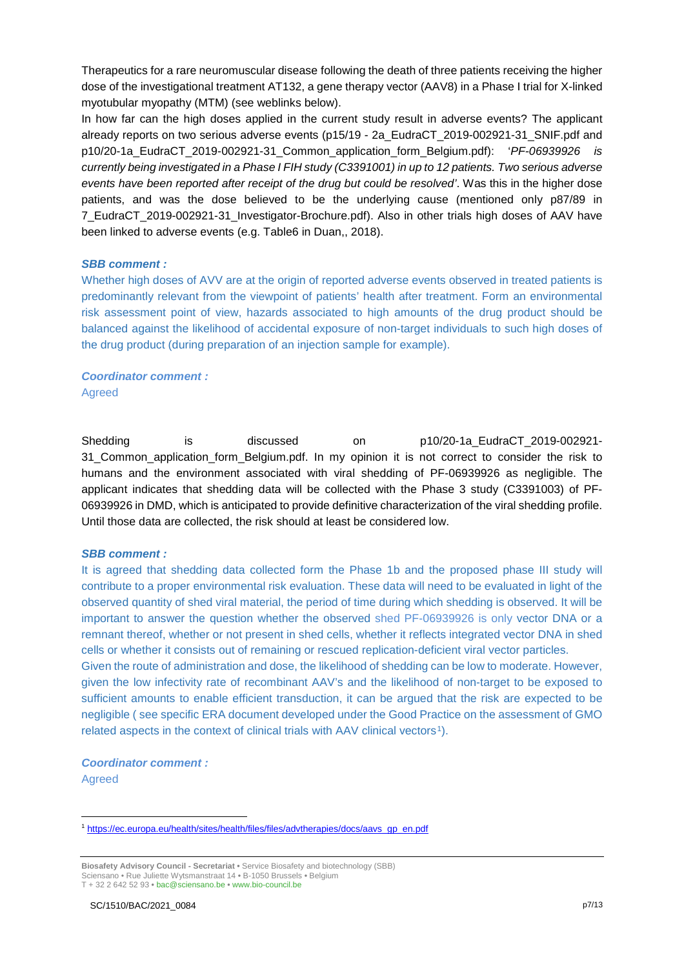Therapeutics for a rare neuromuscular disease following the death of three patients receiving the higher dose of the investigational treatment AT132, a gene therapy vector (AAV8) in a Phase I trial for X-linked myotubular myopathy (MTM) (see weblinks below).

In how far can the high doses applied in the current study result in adverse events? The applicant already reports on two serious adverse events (p15/19 - 2a\_EudraCT\_2019-002921-31\_SNIF.pdf and p10/20-1a\_EudraCT\_2019-002921-31\_Common\_application\_form\_Belgium.pdf): '*PF-06939926 is currently being investigated in a Phase I FIH study (C3391001) in up to 12 patients. Two serious adverse events have been reported after receipt of the drug but could be resolved'*. Was this in the higher dose patients, and was the dose believed to be the underlying cause (mentioned only p87/89 in 7\_EudraCT\_2019-002921-31\_Investigator-Brochure.pdf). Also in other trials high doses of AAV have been linked to adverse events (e.g. Table6 in Duan,, 2018).

### *SBB comment :*

Whether high doses of AVV are at the origin of reported adverse events observed in treated patients is predominantly relevant from the viewpoint of patients' health after treatment. Form an environmental risk assessment point of view, hazards associated to high amounts of the drug product should be balanced against the likelihood of accidental exposure of non-target individuals to such high doses of the drug product (during preparation of an injection sample for example).

## *Coordinator comment :*  Agreed

Shedding is discussed on p10/20-1a EudraCT 2019-002921-31\_Common\_application\_form\_Belgium.pdf. In my opinion it is not correct to consider the risk to humans and the environment associated with viral shedding of PF-06939926 as negligible. The applicant indicates that shedding data will be collected with the Phase 3 study (C3391003) of PF-06939926 in DMD, which is anticipated to provide definitive characterization of the viral shedding profile. Until those data are collected, the risk should at least be considered low.

## *SBB comment :*

It is agreed that shedding data collected form the Phase 1b and the proposed phase III study will contribute to a proper environmental risk evaluation. These data will need to be evaluated in light of the observed quantity of shed viral material, the period of time during which shedding is observed. It will be important to answer the question whether the observed shed PF-06939926 is only vector DNA or a remnant thereof, whether or not present in shed cells, whether it reflects integrated vector DNA in shed cells or whether it consists out of remaining or rescued replication-deficient viral vector particles. Given the route of administration and dose, the likelihood of shedding can be low to moderate. However,

given the low infectivity rate of recombinant AAV's and the likelihood of non-target to be exposed to sufficient amounts to enable efficient transduction, it can be argued that the risk are expected to be negligible ( see specific ERA document developed under the Good Practice on the assessment of GMO related aspects in the context of clinical trials with AAV clinical vectors<sup>[1](#page-12-0)</sup>).

*Coordinator comment :*  Agreed

 $\overline{a}$ 

<span id="page-12-0"></span><sup>1</sup> [https://ec.europa.eu/health/sites/health/files/files/advtherapies/docs/aavs\\_gp\\_en.pdf](https://ec.europa.eu/health/sites/health/files/files/advtherapies/docs/aavs_gp_en.pdf)

**Biosafety Advisory Council - Secretariat •** Service Biosafety and biotechnology (SBB) Sciensano • Rue Juliette Wytsmanstraat 14 **•** B-1050 Brussels **•** Belgium T + 32 2 642 52 93 **•** bac@sciensano.be **•** www.bio-council.be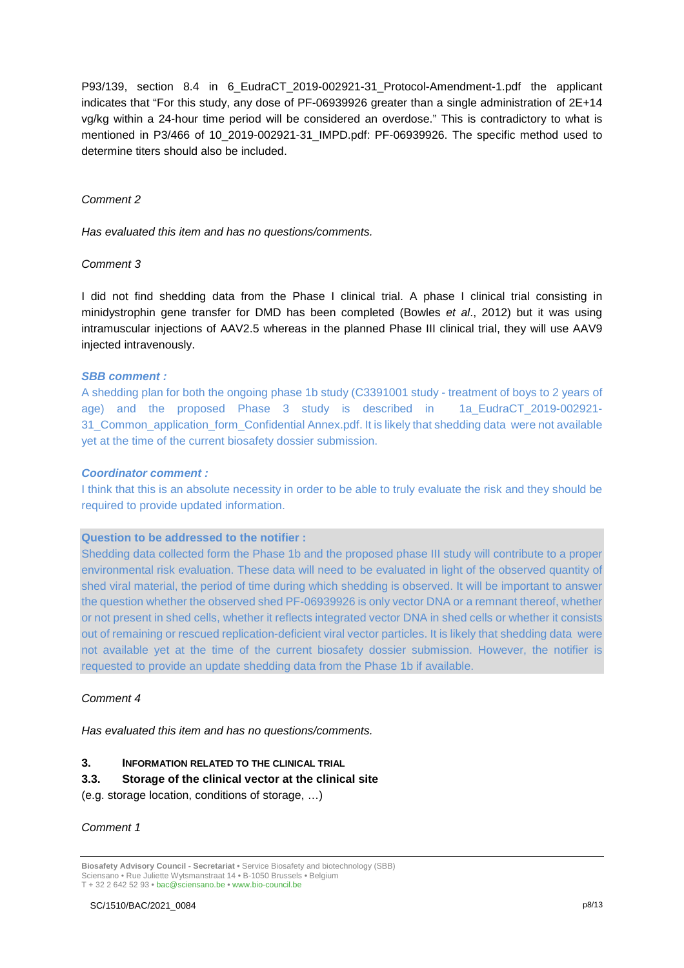P93/139, section 8.4 in 6\_EudraCT\_2019-002921-31\_Protocol-Amendment-1.pdf the applicant indicates that "For this study, any dose of PF-06939926 greater than a single administration of 2E+14 vg/kg within a 24-hour time period will be considered an overdose." This is contradictory to what is mentioned in P3/466 of 10\_2019-002921-31\_IMPD.pdf: PF-06939926. The specific method used to determine titers should also be included.

### *Comment 2*

*Has evaluated this item and has no questions/comments.*

### *Comment 3*

I did not find shedding data from the Phase I clinical trial. A phase I clinical trial consisting in minidystrophin gene transfer for DMD has been completed (Bowles *et al*., 2012) but it was using intramuscular injections of AAV2.5 whereas in the planned Phase III clinical trial, they will use AAV9 injected intravenously.

### *SBB comment :*

A shedding plan for both the ongoing phase 1b study (C3391001 study - treatment of boys to 2 years of age) and the proposed Phase 3 study is described in 1a\_EudraCT\_2019-002921- 31\_Common\_application\_form\_Confidential Annex.pdf. It is likely that shedding data were not available yet at the time of the current biosafety dossier submission.

#### *Coordinator comment :*

I think that this is an absolute necessity in order to be able to truly evaluate the risk and they should be required to provide updated information.

## **Question to be addressed to the notifier :**

Shedding data collected form the Phase 1b and the proposed phase III study will contribute to a proper environmental risk evaluation. These data will need to be evaluated in light of the observed quantity of shed viral material, the period of time during which shedding is observed. It will be important to answer the question whether the observed shed PF-06939926 is only vector DNA or a remnant thereof, whether or not present in shed cells, whether it reflects integrated vector DNA in shed cells or whether it consists out of remaining or rescued replication-deficient viral vector particles. It is likely that shedding data were not available yet at the time of the current biosafety dossier submission. However, the notifier is requested to provide an update shedding data from the Phase 1b if available.

## *Comment 4*

*Has evaluated this item and has no questions/comments.*

#### **3. INFORMATION RELATED TO THE CLINICAL TRIAL**

#### **3.3. Storage of the clinical vector at the clinical site**

(e.g. storage location, conditions of storage, …)

#### *Comment 1*

**Biosafety Advisory Council - Secretariat •** Service Biosafety and biotechnology (SBB) Sciensano • Rue Juliette Wytsmanstraat 14 **•** B-1050 Brussels **•** Belgium T + 32 2 642 52 93 **•** bac@sciensano.be **•** www.bio-council.be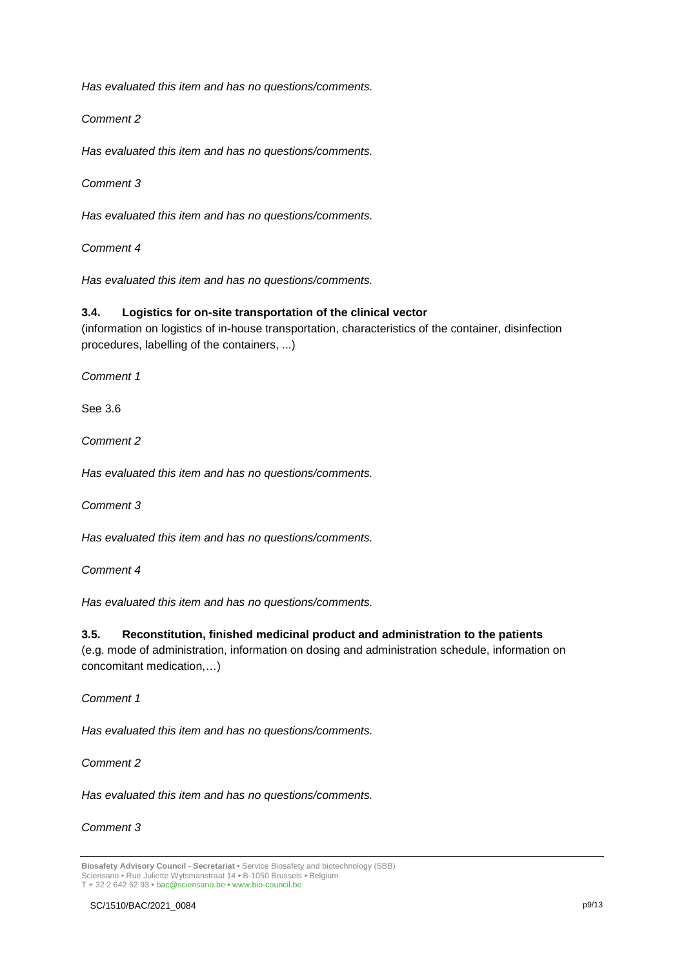*Has evaluated this item and has no questions/comments.*

*Comment 2*

*Has evaluated this item and has no questions/comments.*

*Comment 3*

*Has evaluated this item and has no questions/comments.*

*Comment 4* 

*Has evaluated this item and has no questions/comments.*

### **3.4. Logistics for on-site transportation of the clinical vector**

(information on logistics of in-house transportation, characteristics of the container, disinfection procedures, labelling of the containers, ...)

*Comment 1*

See 3.6

*Comment 2*

*Has evaluated this item and has no questions/comments.*

*Comment 3*

*Has evaluated this item and has no questions/comments.*

*Comment 4* 

*Has evaluated this item and has no questions/comments.*

#### **3.5. Reconstitution, finished medicinal product and administration to the patients**

(e.g. mode of administration, information on dosing and administration schedule, information on concomitant medication,…)

*Comment 1*

*Has evaluated this item and has no questions/comments.*

*Comment 2*

*Has evaluated this item and has no questions/comments.*

## *Comment 3*

**Biosafety Advisory Council - Secretariat •** Service Biosafety and biotechnology (SBB) Sciensano • Rue Juliette Wytsmanstraat 14 **•** B-1050 Brussels **•** Belgium T + 32 2 642 52 93 **•** bac@sciensano.be **•** www.bio-council.be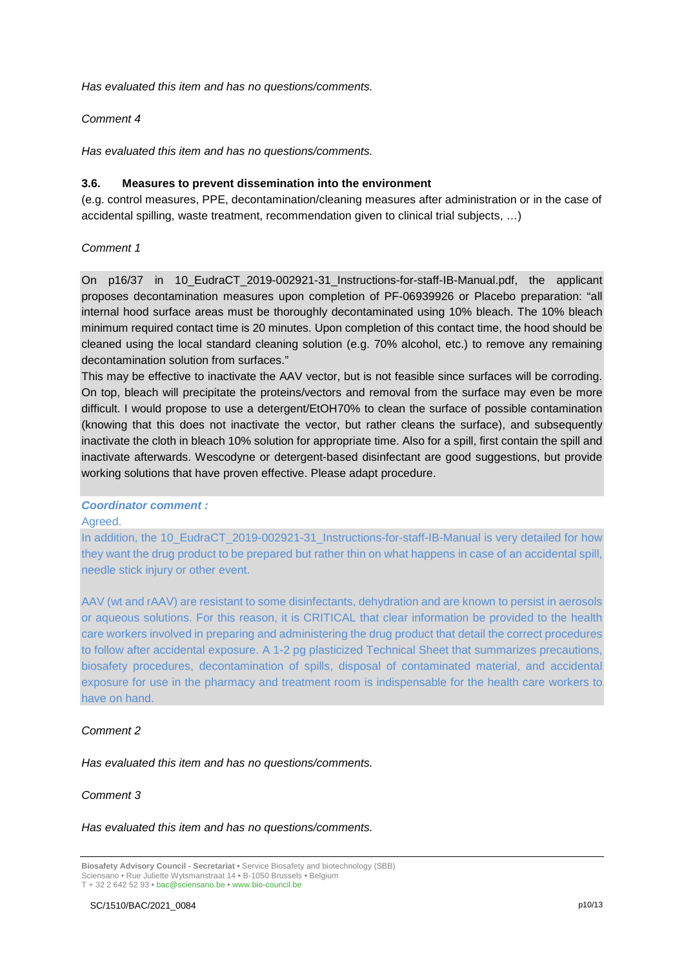*Has evaluated this item and has no questions/comments.*

#### *Comment 4*

*Has evaluated this item and has no questions/comments.*

#### **3.6. Measures to prevent dissemination into the environment**

(e.g. control measures, PPE, decontamination/cleaning measures after administration or in the case of accidental spilling, waste treatment, recommendation given to clinical trial subjects, …)

## *Comment 1*

On p16/37 in 10\_EudraCT\_2019-002921-31\_Instructions-for-staff-IB-Manual.pdf, the applicant proposes decontamination measures upon completion of PF-06939926 or Placebo preparation: "all internal hood surface areas must be thoroughly decontaminated using 10% bleach. The 10% bleach minimum required contact time is 20 minutes. Upon completion of this contact time, the hood should be cleaned using the local standard cleaning solution (e.g. 70% alcohol, etc.) to remove any remaining decontamination solution from surfaces."

This may be effective to inactivate the AAV vector, but is not feasible since surfaces will be corroding. On top, bleach will precipitate the proteins/vectors and removal from the surface may even be more difficult. I would propose to use a detergent/EtOH70% to clean the surface of possible contamination (knowing that this does not inactivate the vector, but rather cleans the surface), and subsequently inactivate the cloth in bleach 10% solution for appropriate time. Also for a spill, first contain the spill and inactivate afterwards. Wescodyne or detergent-based disinfectant are good suggestions, but provide working solutions that have proven effective. Please adapt procedure.

#### *Coordinator comment :*

Agreed.

In addition, the 10\_EudraCT\_2019-002921-31\_Instructions-for-staff-IB-Manual is very detailed for how they want the drug product to be prepared but rather thin on what happens in case of an accidental spill, needle stick injury or other event.

AAV (wt and rAAV) are resistant to some disinfectants, dehydration and are known to persist in aerosols or aqueous solutions. For this reason, it is CRITICAL that clear information be provided to the health care workers involved in preparing and administering the drug product that detail the correct procedures to follow after accidental exposure. A 1-2 pg plasticized Technical Sheet that summarizes precautions, biosafety procedures, decontamination of spills, disposal of contaminated material, and accidental exposure for use in the pharmacy and treatment room is indispensable for the health care workers to have on hand.

#### *Comment 2*

*Has evaluated this item and has no questions/comments.*

#### *Comment 3*

*Has evaluated this item and has no questions/comments.*

**Biosafety Advisory Council - Secretariat •** Service Biosafety and biotechnology (SBB) Sciensano • Rue Juliette Wytsmanstraat 14 **•** B-1050 Brussels **•** Belgium T + 32 2 642 52 93 **•** bac@sciensano.be **•** www.bio-council.be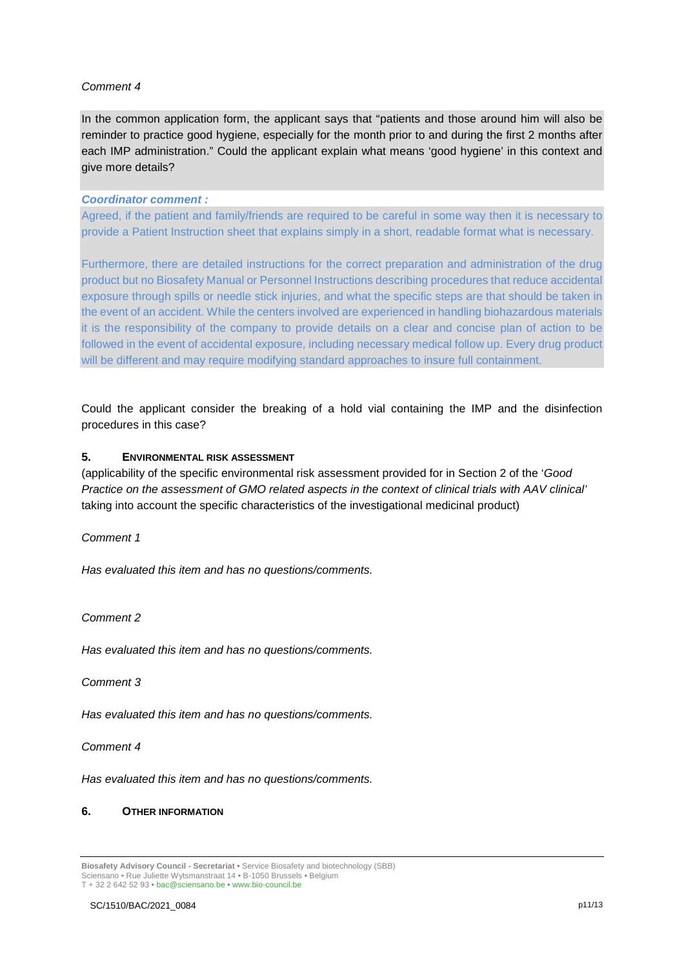## *Comment 4*

In the common application form, the applicant says that "patients and those around him will also be reminder to practice good hygiene, especially for the month prior to and during the first 2 months after each IMP administration." Could the applicant explain what means 'good hygiene' in this context and give more details?

#### *Coordinator comment :*

Agreed, if the patient and family/friends are required to be careful in some way then it is necessary to provide a Patient Instruction sheet that explains simply in a short, readable format what is necessary.

Furthermore, there are detailed instructions for the correct preparation and administration of the drug product but no Biosafety Manual or Personnel Instructions describing procedures that reduce accidental exposure through spills or needle stick injuries, and what the specific steps are that should be taken in the event of an accident. While the centers involved are experienced in handling biohazardous materials it is the responsibility of the company to provide details on a clear and concise plan of action to be followed in the event of accidental exposure, including necessary medical follow up. Every drug product will be different and may require modifying standard approaches to insure full containment.

Could the applicant consider the breaking of a hold vial containing the IMP and the disinfection procedures in this case?

## **5. ENVIRONMENTAL RISK ASSESSMENT**

(applicability of the specific environmental risk assessment provided for in Section 2 of the '*Good Practice on the assessment of GMO related aspects in the context of clinical trials with AAV clinical'* taking into account the specific characteristics of the investigational medicinal product)

*Comment 1*

*Has evaluated this item and has no questions/comments.*

*Comment 2*

*Has evaluated this item and has no questions/comments.*

*Comment 3*

*Has evaluated this item and has no questions/comments.*

*Comment 4* 

*Has evaluated this item and has no questions/comments.*

## **6. OTHER INFORMATION**

**Biosafety Advisory Council - Secretariat •** Service Biosafety and biotechnology (SBB) Sciensano • Rue Juliette Wytsmanstraat 14 **•** B-1050 Brussels **•** Belgium T + 32 2 642 52 93 **•** bac@sciensano.be **•** www.bio-council.be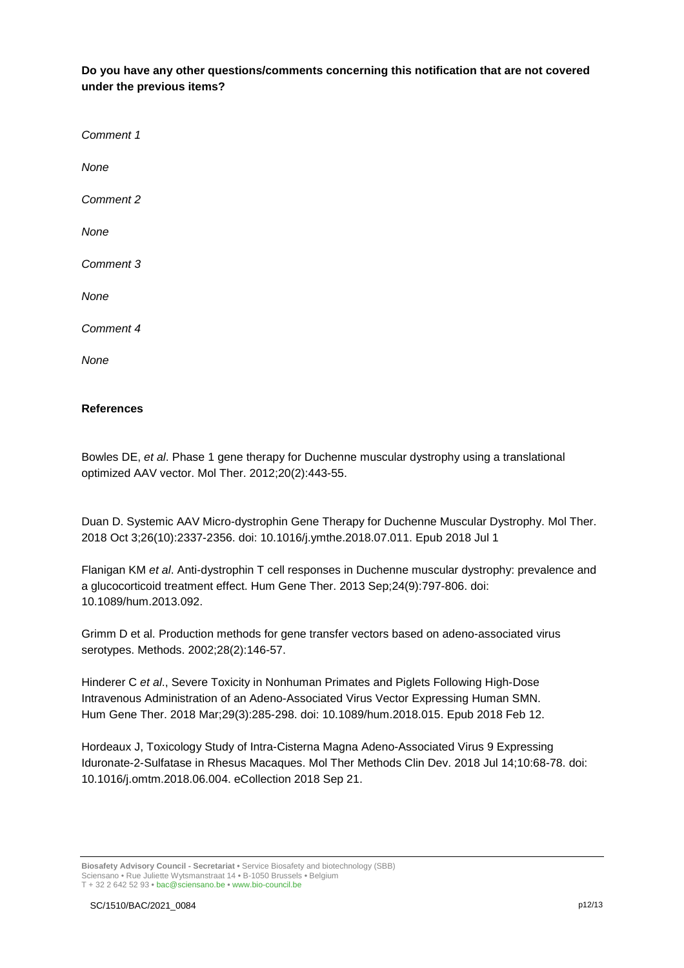**Do you have any other questions/comments concerning this notification that are not covered under the previous items?** 

*Comment 1 None Comment 2 None Comment 3 None Comment 4 None*

## **References**

Bowles DE, *et al*. Phase 1 gene therapy for Duchenne muscular dystrophy using a translational optimized AAV vector. Mol Ther. 2012;20(2):443-55.

Duan D. [Systemic AAV Micro-dystrophin Gene Therapy for Duchenne Muscular Dystrophy.](https://pubmed.ncbi.nlm.nih.gov/30093306/) Mol Ther. 2018 Oct 3;26(10):2337-2356. doi: 10.1016/j.ymthe.2018.07.011. Epub 2018 Jul 1

Flanigan KM *et al*. [Anti-dystrophin T cell responses in Duchenne muscular dystrophy: prevalence and](https://pubmed.ncbi.nlm.nih.gov/24010700/)  [a glucocorticoid treatment effect.](https://pubmed.ncbi.nlm.nih.gov/24010700/) Hum Gene Ther. 2013 Sep;24(9):797-806. doi: 10.1089/hum.2013.092.

Grimm D et al. Production methods for gene transfer vectors based on adeno-associated virus serotypes. Methods. 2002;28(2):146-57.

Hinderer C *et al*., [Severe Toxicity in Nonhuman Primates and Piglets Following High-Dose](https://pubmed.ncbi.nlm.nih.gov/29378426/)  [Intravenous Administration of an Adeno-Associated Virus Vector Expressing Human SMN.](https://pubmed.ncbi.nlm.nih.gov/29378426/) Hum Gene Ther. 2018 Mar;29(3):285-298. doi: 10.1089/hum.2018.015. Epub 2018 Feb 12.

Hordeaux J, [Toxicology Study of Intra-Cisterna Magna Adeno-Associated Virus 9 Expressing](https://pubmed.ncbi.nlm.nih.gov/30073178/)  [Iduronate-2-Sulfatase in Rhesus Macaques.](https://pubmed.ncbi.nlm.nih.gov/30073178/) Mol Ther Methods Clin Dev. 2018 Jul 14;10:68-78. doi: 10.1016/j.omtm.2018.06.004. eCollection 2018 Sep 21.

**Biosafety Advisory Council - Secretariat •** Service Biosafety and biotechnology (SBB) Sciensano • Rue Juliette Wytsmanstraat 14 **•** B-1050 Brussels **•** Belgium T + 32 2 642 52 93 **•** bac@sciensano.be **•** www.bio-council.be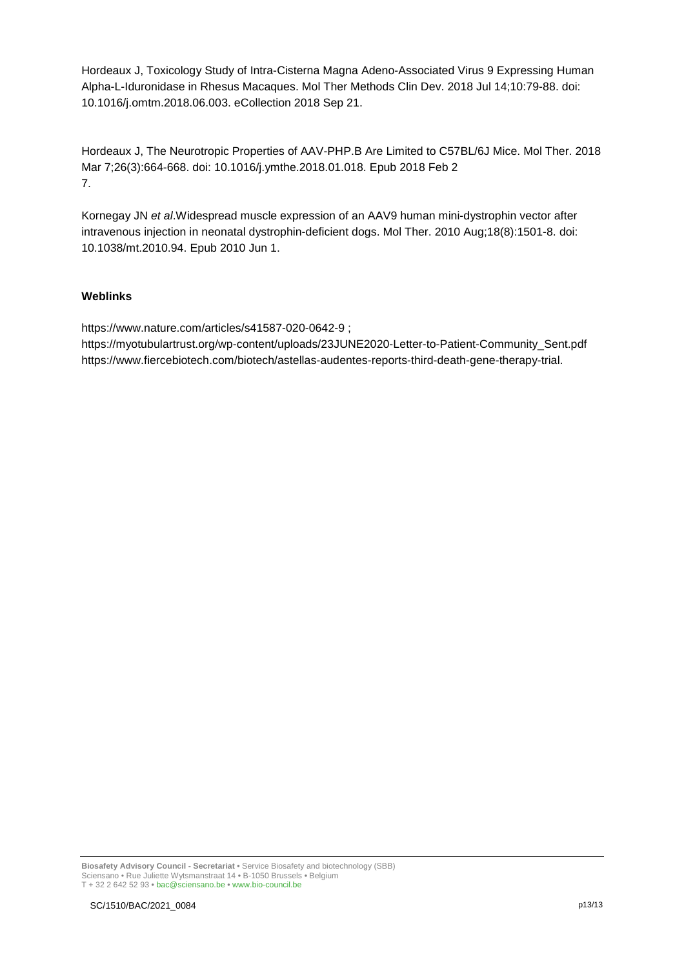Hordeaux J, [Toxicology Study of Intra-Cisterna Magna Adeno-Associated Virus 9 Expressing Human](https://pubmed.ncbi.nlm.nih.gov/30073179/)  [Alpha-L-Iduronidase in Rhesus Macaques.](https://pubmed.ncbi.nlm.nih.gov/30073179/) Mol Ther Methods Clin Dev. 2018 Jul 14;10:79-88. doi: 10.1016/j.omtm.2018.06.003. eCollection 2018 Sep 21.

Hordeaux J, The Neurotropic Properties of AAV-PHP.B Are Limited to C57BL/6J Mice. Mol Ther. 2018 Mar 7;26(3):664-668. doi: 10.1016/j.ymthe.2018.01.018. Epub 2018 Feb 2 7.

Kornegay JN *et al*[.Widespread muscle expression of an AAV9 human mini-dystrophin vector after](https://pubmed.ncbi.nlm.nih.gov/20517298/)  [intravenous injection in neonatal dystrophin-deficient dogs.](https://pubmed.ncbi.nlm.nih.gov/20517298/) Mol Ther. 2010 Aug;18(8):1501-8. doi: 10.1038/mt.2010.94. Epub 2010 Jun 1.

## **Weblinks**

<https://www.nature.com/articles/s41587-020-0642-9> ;

[https://myotubulartrust.org/wp-content/uploads/23JUNE2020-Letter-to-Patient-Community\\_Sent.pdf](https://myotubulartrust.org/wp-content/uploads/23JUNE2020-Letter-to-Patient-Community_Sent.pdf) https://www.fiercebiotech.com/biotech/astellas-audentes-reports-third-death-gene-therapy-trial.

**Biosafety Advisory Council - Secretariat •** Service Biosafety and biotechnology (SBB) Sciensano • Rue Juliette Wytsmanstraat 14 **•** B-1050 Brussels **•** Belgium T + 32 2 642 52 93 **•** bac@sciensano.be **•** www.bio-council.be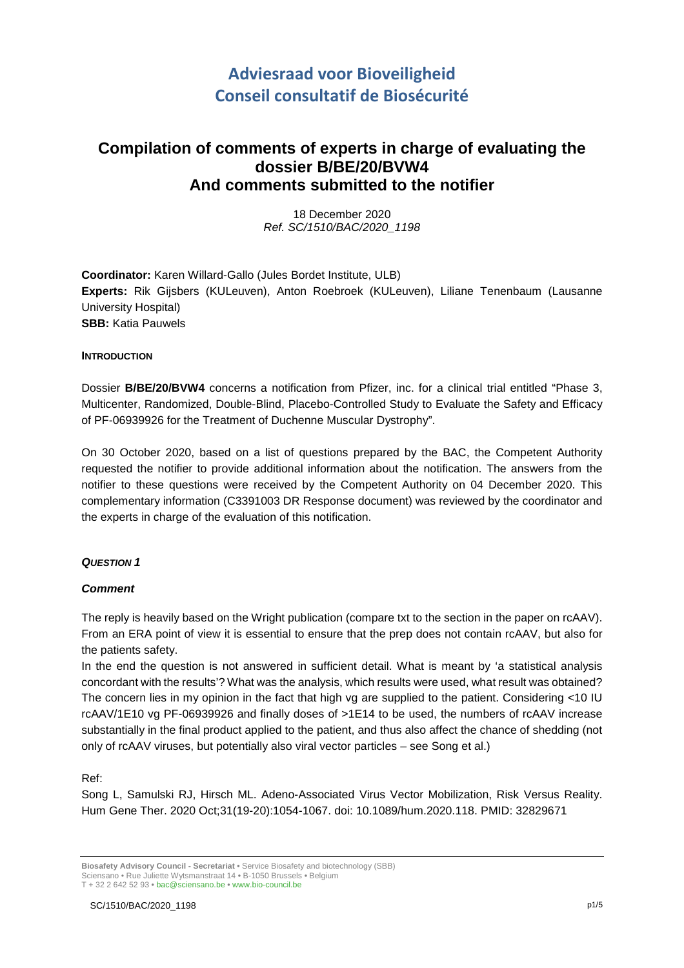# **Adviesraad voor Bioveiligheid Conseil consultatif de Biosécurité**

## **Compilation of comments of experts in charge of evaluating the dossier B/BE/20/BVW4 And comments submitted to the notifier**

18 December 2020 *Ref. SC/1510/BAC/2020\_1198*

**Coordinator:** Karen Willard-Gallo (Jules Bordet Institute, ULB) **Experts:** Rik Gijsbers (KULeuven), Anton Roebroek (KULeuven), Liliane Tenenbaum (Lausanne University Hospital) **SBB:** Katia Pauwels

## **INTRODUCTION**

Dossier **B/BE/20/BVW4** concerns a notification from Pfizer, inc. for a clinical trial entitled "Phase 3, Multicenter, Randomized, Double-Blind, Placebo-Controlled Study to Evaluate the Safety and Efficacy of PF-06939926 for the Treatment of Duchenne Muscular Dystrophy".

On 30 October 2020, based on a list of questions prepared by the BAC, the Competent Authority requested the notifier to provide additional information about the notification. The answers from the notifier to these questions were received by the Competent Authority on 04 December 2020. This complementary information (C3391003 DR Response document) was reviewed by the coordinator and the experts in charge of the evaluation of this notification.

## *QUESTION 1*

## *Comment*

The reply is heavily based on the Wright publication (compare txt to the section in the paper on rcAAV). From an ERA point of view it is essential to ensure that the prep does not contain rcAAV, but also for the patients safety.

In the end the question is not answered in sufficient detail. What is meant by 'a statistical analysis concordant with the results'? What was the analysis, which results were used, what result was obtained? The concern lies in my opinion in the fact that high vg are supplied to the patient. Considering <10 IU rcAAV/1E10 vg PF-06939926 and finally doses of >1E14 to be used, the numbers of rcAAV increase substantially in the final product applied to the patient, and thus also affect the chance of shedding (not only of rcAAV viruses, but potentially also viral vector particles – see Song et al.)

Ref:

Song L, Samulski RJ, Hirsch ML. Adeno-Associated Virus Vector Mobilization, Risk Versus Reality. Hum Gene Ther. 2020 Oct;31(19-20):1054-1067. doi: 10.1089/hum.2020.118. PMID: 32829671

**Biosafety Advisory Council - Secretariat •** Service Biosafety and biotechnology (SBB) Sciensano • Rue Juliette Wytsmanstraat 14 **•** B-1050 Brussels **•** Belgium T + 32 2 642 52 93 **•** bac@sciensano.be **•** www.bio-council.be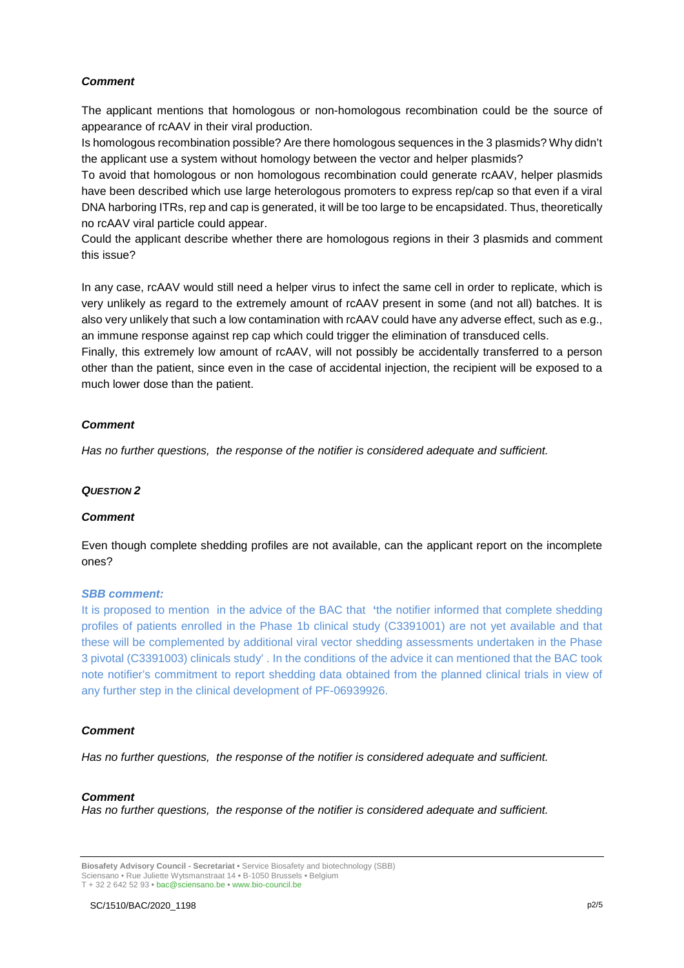## *Comment*

The applicant mentions that homologous or non-homologous recombination could be the source of appearance of rcAAV in their viral production.

Is homologous recombination possible? Are there homologous sequences in the 3 plasmids? Why didn't the applicant use a system without homology between the vector and helper plasmids?

To avoid that homologous or non homologous recombination could generate rcAAV, helper plasmids have been described which use large heterologous promoters to express rep/cap so that even if a viral DNA harboring ITRs, rep and cap is generated, it will be too large to be encapsidated. Thus, theoretically no rcAAV viral particle could appear.

Could the applicant describe whether there are homologous regions in their 3 plasmids and comment this issue?

In any case, rcAAV would still need a helper virus to infect the same cell in order to replicate, which is very unlikely as regard to the extremely amount of rcAAV present in some (and not all) batches. It is also very unlikely that such a low contamination with rcAAV could have any adverse effect, such as e.g., an immune response against rep cap which could trigger the elimination of transduced cells.

Finally, this extremely low amount of rcAAV, will not possibly be accidentally transferred to a person other than the patient, since even in the case of accidental injection, the recipient will be exposed to a much lower dose than the patient.

### *Comment*

*Has no further questions, the response of the notifier is considered adequate and sufficient.*

#### *QUESTION 2*

#### *Comment*

Even though complete shedding profiles are not available, can the applicant report on the incomplete ones?

#### *SBB comment:*

It is proposed to mention in the advice of the BAC that **'**the notifier informed that complete shedding profiles of patients enrolled in the Phase 1b clinical study (C3391001) are not yet available and that these will be complemented by additional viral vector shedding assessments undertaken in the Phase 3 pivotal (C3391003) clinicals study' . In the conditions of the advice it can mentioned that the BAC took note notifier's commitment to report shedding data obtained from the planned clinical trials in view of any further step in the clinical development of PF-06939926.

## *Comment*

*Has no further questions, the response of the notifier is considered adequate and sufficient.*

#### *Comment*

*Has no further questions, the response of the notifier is considered adequate and sufficient.*

**Biosafety Advisory Council - Secretariat •** Service Biosafety and biotechnology (SBB) Sciensano • Rue Juliette Wytsmanstraat 14 **•** B-1050 Brussels **•** Belgium T + 32 2 642 52 93 **•** bac@sciensano.be **•** www.bio-council.be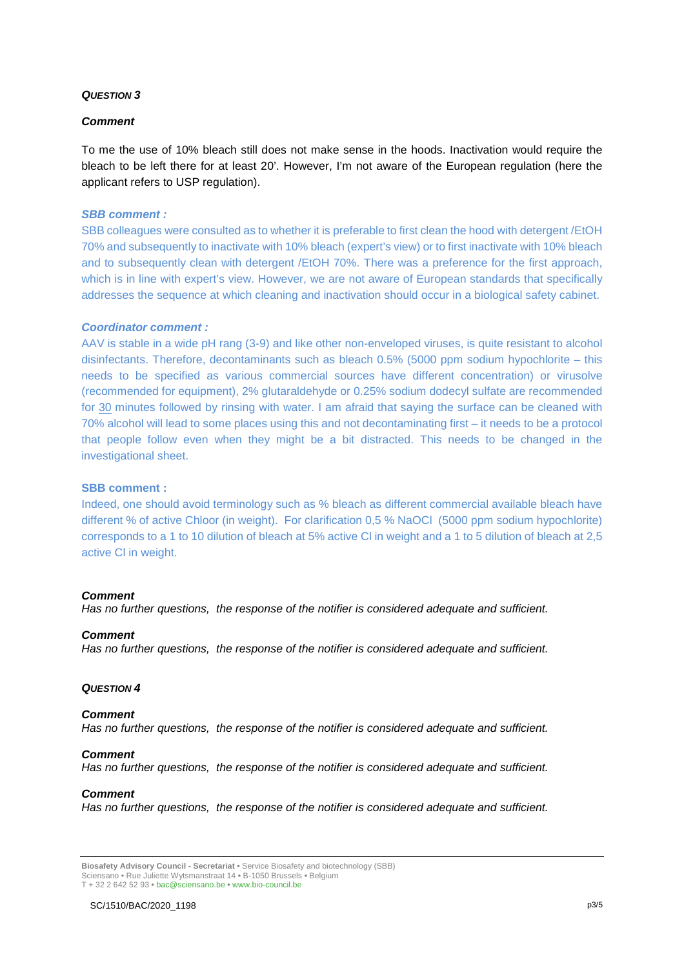## *QUESTION 3*

#### *Comment*

To me the use of 10% bleach still does not make sense in the hoods. Inactivation would require the bleach to be left there for at least 20'. However, I'm not aware of the European regulation (here the applicant refers to USP regulation).

#### *SBB comment :*

SBB colleagues were consulted as to whether it is preferable to first clean the hood with detergent /EtOH 70% and subsequently to inactivate with 10% bleach (expert's view) or to first inactivate with 10% bleach and to subsequently clean with detergent /EtOH 70%. There was a preference for the first approach, which is in line with expert's view. However, we are not aware of European standards that specifically addresses the sequence at which cleaning and inactivation should occur in a biological safety cabinet.

#### *Coordinator comment :*

AAV is stable in a wide pH rang (3-9) and like other non-enveloped viruses, is quite resistant to alcohol disinfectants. Therefore, decontaminants such as bleach 0.5% (5000 ppm sodium hypochlorite – this needs to be specified as various commercial sources have different concentration) or virusolve (recommended for equipment), 2% glutaraldehyde or 0.25% sodium dodecyl sulfate are recommended for 30 minutes followed by rinsing with water. I am afraid that saying the surface can be cleaned with 70% alcohol will lead to some places using this and not decontaminating first – it needs to be a protocol that people follow even when they might be a bit distracted. This needs to be changed in the investigational sheet.

#### **SBB comment :**

Indeed, one should avoid terminology such as % bleach as different commercial available bleach have different % of active Chloor (in weight). For clarification 0,5 % NaOCl (5000 ppm sodium hypochlorite) corresponds to a 1 to 10 dilution of bleach at 5% active Cl in weight and a 1 to 5 dilution of bleach at 2,5 active Cl in weight.

#### *Comment*

*Has no further questions, the response of the notifier is considered adequate and sufficient.*

#### *Comment*

*Has no further questions, the response of the notifier is considered adequate and sufficient.*

#### *QUESTION 4*

#### *Comment*

*Has no further questions, the response of the notifier is considered adequate and sufficient.*

#### *Comment*

*Has no further questions, the response of the notifier is considered adequate and sufficient.*

#### *Comment*

*Has no further questions, the response of the notifier is considered adequate and sufficient.*

**Biosafety Advisory Council - Secretariat •** Service Biosafety and biotechnology (SBB) Sciensano • Rue Juliette Wytsmanstraat 14 **•** B-1050 Brussels **•** Belgium T + 32 2 642 52 93 **•** bac@sciensano.be **•** www.bio-council.be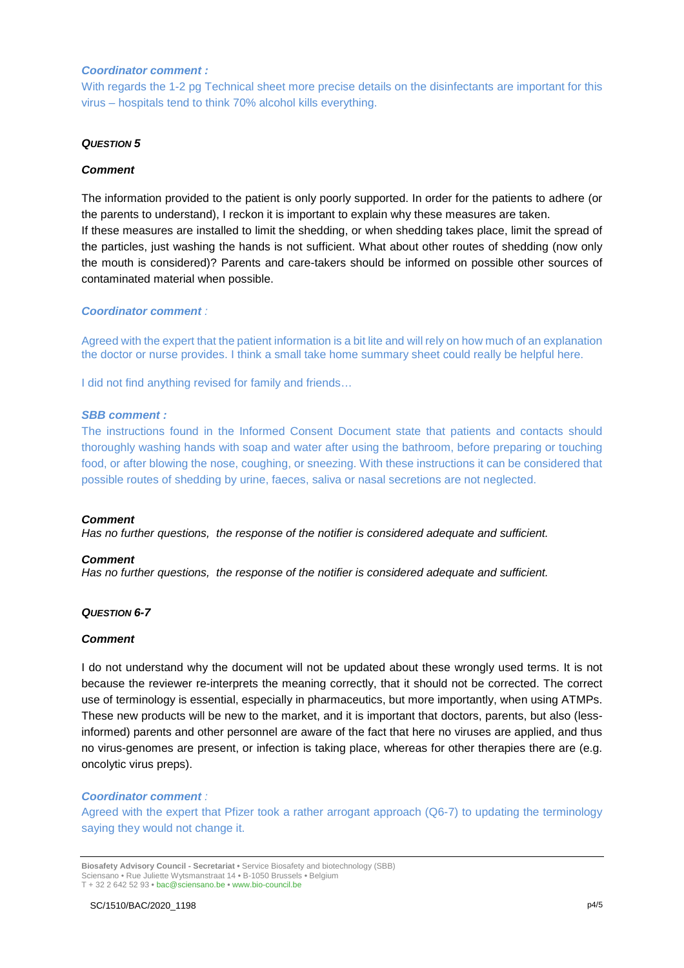#### *Coordinator comment :*

With regards the 1-2 pg Technical sheet more precise details on the disinfectants are important for this virus – hospitals tend to think 70% alcohol kills everything.

#### *QUESTION 5*

#### *Comment*

The information provided to the patient is only poorly supported. In order for the patients to adhere (or the parents to understand), I reckon it is important to explain why these measures are taken. If these measures are installed to limit the shedding, or when shedding takes place, limit the spread of the particles, just washing the hands is not sufficient. What about other routes of shedding (now only the mouth is considered)? Parents and care-takers should be informed on possible other sources of contaminated material when possible.

#### *Coordinator comment :*

Agreed with the expert that the patient information is a bit lite and will rely on how much of an explanation the doctor or nurse provides. I think a small take home summary sheet could really be helpful here.

I did not find anything revised for family and friends…

#### *SBB comment :*

The instructions found in the Informed Consent Document state that patients and contacts should thoroughly washing hands with soap and water after using the bathroom, before preparing or touching food, or after blowing the nose, coughing, or sneezing. With these instructions it can be considered that possible routes of shedding by urine, faeces, saliva or nasal secretions are not neglected.

#### *Comment*

*Has no further questions, the response of the notifier is considered adequate and sufficient.*

#### *Comment*

*Has no further questions, the response of the notifier is considered adequate and sufficient.*

#### *QUESTION 6-7*

#### *Comment*

I do not understand why the document will not be updated about these wrongly used terms. It is not because the reviewer re-interprets the meaning correctly, that it should not be corrected. The correct use of terminology is essential, especially in pharmaceutics, but more importantly, when using ATMPs. These new products will be new to the market, and it is important that doctors, parents, but also (lessinformed) parents and other personnel are aware of the fact that here no viruses are applied, and thus no virus-genomes are present, or infection is taking place, whereas for other therapies there are (e.g. oncolytic virus preps).

#### *Coordinator comment :*

Agreed with the expert that Pfizer took a rather arrogant approach (Q6-7) to updating the terminology saying they would not change it.

**Biosafety Advisory Council - Secretariat •** Service Biosafety and biotechnology (SBB) Sciensano • Rue Juliette Wytsmanstraat 14 **•** B-1050 Brussels **•** Belgium T + 32 2 642 52 93 **•** bac@sciensano.be **•** www.bio-council.be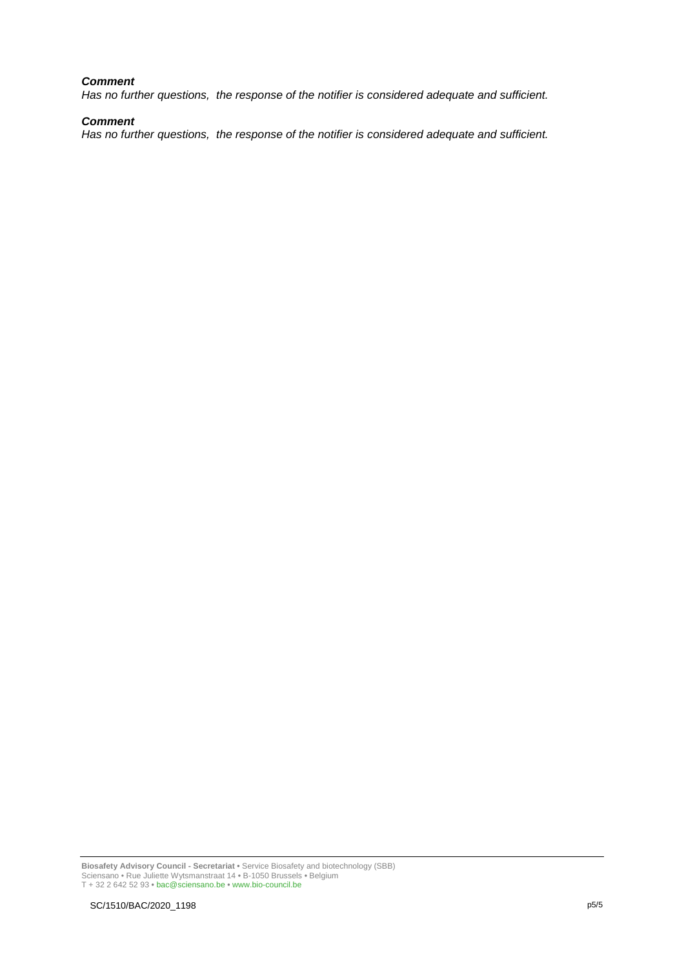## *Comment*

*Has no further questions, the response of the notifier is considered adequate and sufficient.*

## *Comment*

*Has no further questions, the response of the notifier is considered adequate and sufficient.*

**Biosafety Advisory Council - Secretariat •** Service Biosafety and biotechnology (SBB) Sciensano • Rue Juliette Wytsmanstraat 14 **•** B-1050 Brussels **•** Belgium T + 32 2 642 52 93 **•** bac@sciensano.be **•** www.bio-council.be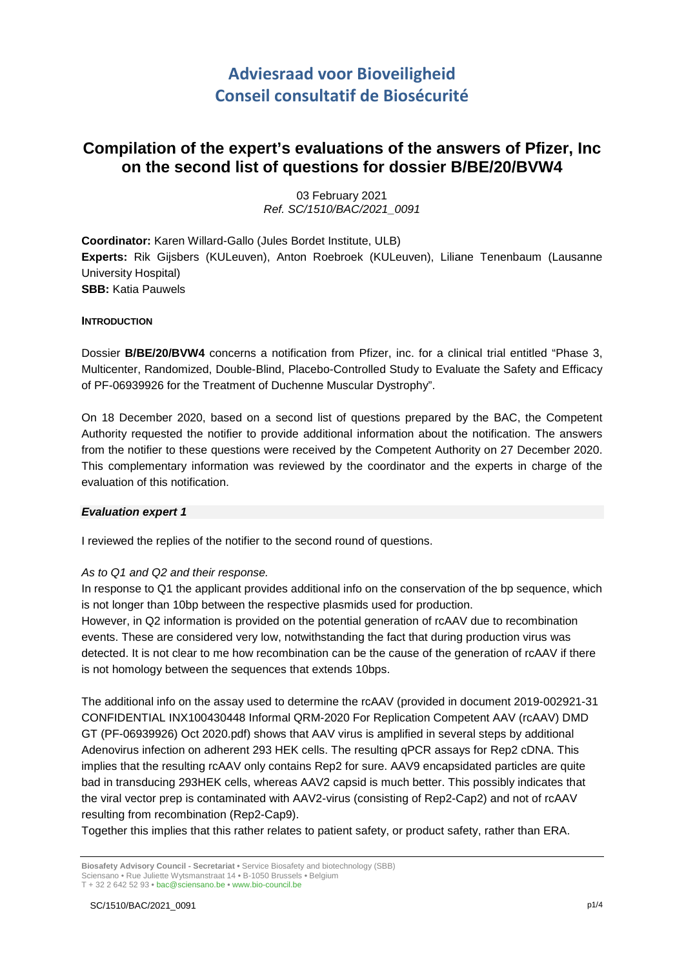# **Adviesraad voor Bioveiligheid Conseil consultatif de Biosécurité**

## **Compilation of the expert's evaluations of the answers of Pfizer, Inc on the second list of questions for dossier B/BE/20/BVW4**

03 February 2021 *Ref. SC/1510/BAC/2021\_0091*

**Coordinator:** Karen Willard-Gallo (Jules Bordet Institute, ULB) **Experts:** Rik Gijsbers (KULeuven), Anton Roebroek (KULeuven), Liliane Tenenbaum (Lausanne University Hospital) **SBB:** Katia Pauwels

### **INTRODUCTION**

Dossier **B/BE/20/BVW4** concerns a notification from Pfizer, inc. for a clinical trial entitled "Phase 3, Multicenter, Randomized, Double-Blind, Placebo-Controlled Study to Evaluate the Safety and Efficacy of PF-06939926 for the Treatment of Duchenne Muscular Dystrophy".

On 18 December 2020, based on a second list of questions prepared by the BAC, the Competent Authority requested the notifier to provide additional information about the notification. The answers from the notifier to these questions were received by the Competent Authority on 27 December 2020. This complementary information was reviewed by the coordinator and the experts in charge of the evaluation of this notification.

## *Evaluation expert 1*

I reviewed the replies of the notifier to the second round of questions.

## *As to Q1 and Q2 and their response.*

In response to Q1 the applicant provides additional info on the conservation of the bp sequence, which is not longer than 10bp between the respective plasmids used for production.

However, in Q2 information is provided on the potential generation of rcAAV due to recombination events. These are considered very low, notwithstanding the fact that during production virus was detected. It is not clear to me how recombination can be the cause of the generation of rcAAV if there is not homology between the sequences that extends 10bps.

The additional info on the assay used to determine the rcAAV (provided in document 2019-002921-31 CONFIDENTIAL INX100430448 Informal QRM-2020 For Replication Competent AAV (rcAAV) DMD GT (PF-06939926) Oct 2020.pdf) shows that AAV virus is amplified in several steps by additional Adenovirus infection on adherent 293 HEK cells. The resulting qPCR assays for Rep2 cDNA. This implies that the resulting rcAAV only contains Rep2 for sure. AAV9 encapsidated particles are quite bad in transducing 293HEK cells, whereas AAV2 capsid is much better. This possibly indicates that the viral vector prep is contaminated with AAV2-virus (consisting of Rep2-Cap2) and not of rcAAV resulting from recombination (Rep2-Cap9).

Together this implies that this rather relates to patient safety, or product safety, rather than ERA.

**Biosafety Advisory Council - Secretariat •** Service Biosafety and biotechnology (SBB) Sciensano • Rue Juliette Wytsmanstraat 14 **•** B-1050 Brussels **•** Belgium T + 32 2 642 52 93 **•** bac@sciensano.be **•** www.bio-council.be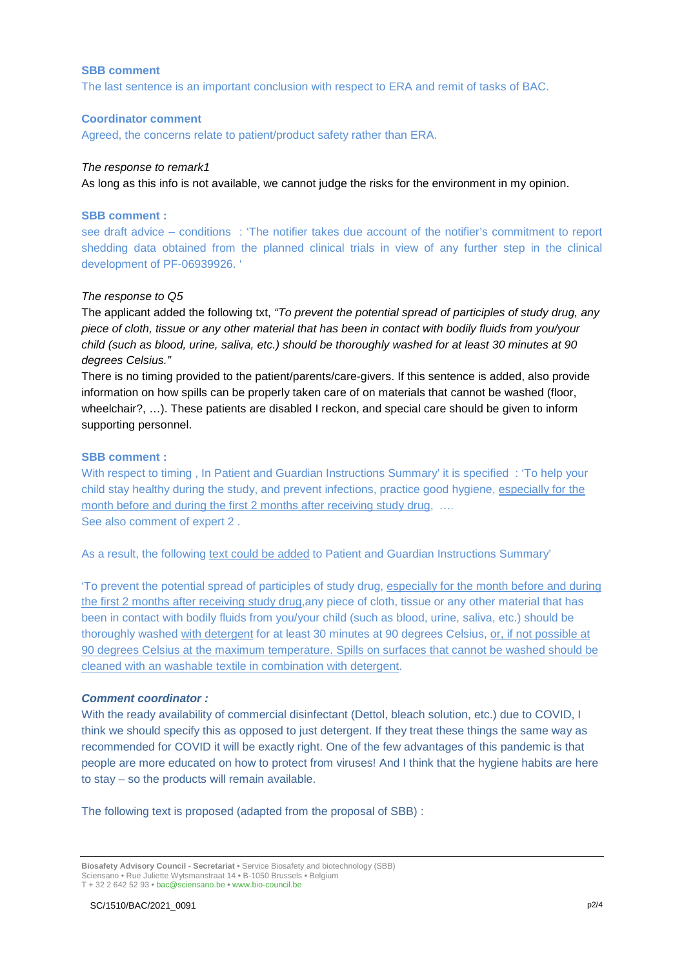#### **SBB comment**

The last sentence is an important conclusion with respect to ERA and remit of tasks of BAC.

#### **Coordinator comment**

Agreed, the concerns relate to patient/product safety rather than ERA.

#### *The response to remark1*

As long as this info is not available, we cannot judge the risks for the environment in my opinion.

#### **SBB comment :**

see draft advice – conditions : 'The notifier takes due account of the notifier's commitment to report shedding data obtained from the planned clinical trials in view of any further step in the clinical development of PF-06939926. '

#### *The response to Q5*

The applicant added the following txt, *"To prevent the potential spread of participles of study drug, any piece of cloth, tissue or any other material that has been in contact with bodily fluids from you/your child (such as blood, urine, saliva, etc.) should be thoroughly washed for at least 30 minutes at 90 degrees Celsius."*

There is no timing provided to the patient/parents/care-givers. If this sentence is added, also provide information on how spills can be properly taken care of on materials that cannot be washed (floor, wheelchair?, …). These patients are disabled I reckon, and special care should be given to inform supporting personnel.

#### **SBB comment :**

With respect to timing , In Patient and Guardian Instructions Summary' it is specified : 'To help your child stay healthy during the study, and prevent infections, practice good hygiene, especially for the month before and during the first 2 months after receiving study drug, .... See also comment of expert 2 .

As a result, the following text could be added to Patient and Guardian Instructions Summary'

'To prevent the potential spread of participles of study drug, especially for the month before and during the first 2 months after receiving study drug,any piece of cloth, tissue or any other material that has been in contact with bodily fluids from you/your child (such as blood, urine, saliva, etc.) should be thoroughly washed with detergent for at least 30 minutes at 90 degrees Celsius, or, if not possible at 90 degrees Celsius at the maximum temperature. Spills on surfaces that cannot be washed should be cleaned with an washable textile in combination with detergent.

## *Comment coordinator :*

With the ready availability of commercial disinfectant (Dettol, bleach solution, etc.) due to COVID, I think we should specify this as opposed to just detergent. If they treat these things the same way as recommended for COVID it will be exactly right. One of the few advantages of this pandemic is that people are more educated on how to protect from viruses! And I think that the hygiene habits are here to stay – so the products will remain available.

The following text is proposed (adapted from the proposal of SBB) :

**Biosafety Advisory Council - Secretariat •** Service Biosafety and biotechnology (SBB) Sciensano • Rue Juliette Wytsmanstraat 14 **•** B-1050 Brussels **•** Belgium T + 32 2 642 52 93 **•** bac@sciensano.be **•** www.bio-council.be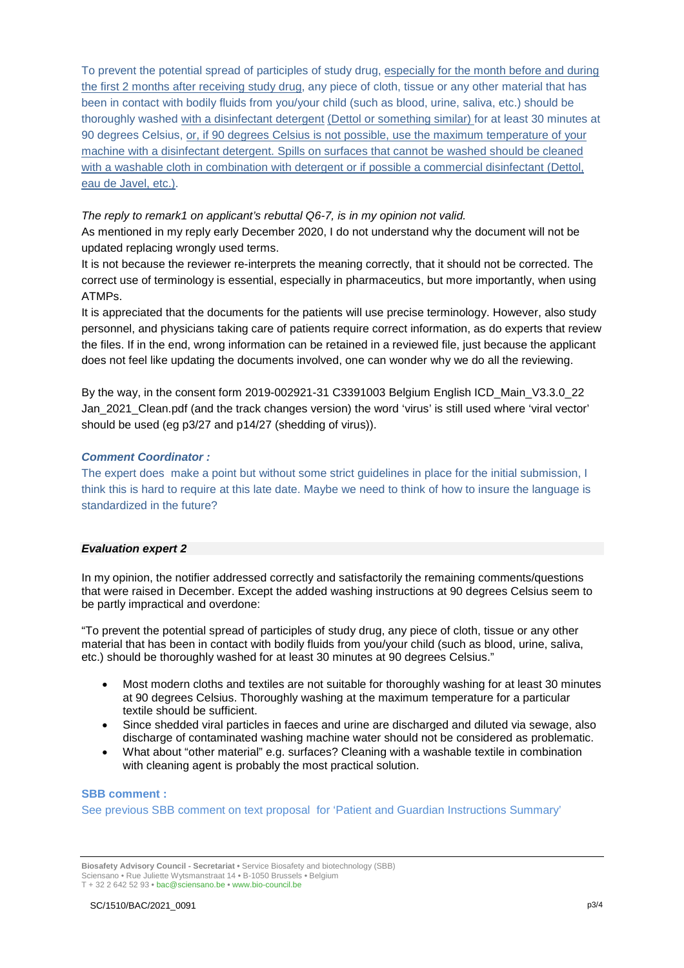To prevent the potential spread of participles of study drug, especially for the month before and during the first 2 months after receiving study drug, any piece of cloth, tissue or any other material that has been in contact with bodily fluids from you/your child (such as blood, urine, saliva, etc.) should be thoroughly washed with a disinfectant detergent (Dettol or something similar) for at least 30 minutes at 90 degrees Celsius, or, if 90 degrees Celsius is not possible, use the maximum temperature of your machine with a disinfectant detergent. Spills on surfaces that cannot be washed should be cleaned with a washable cloth in combination with detergent or if possible a commercial disinfectant (Dettol, eau de Javel, etc.).

*The reply to remark1 on applicant's rebuttal Q6-7, is in my opinion not valid.* 

As mentioned in my reply early December 2020, I do not understand why the document will not be updated replacing wrongly used terms.

It is not because the reviewer re-interprets the meaning correctly, that it should not be corrected. The correct use of terminology is essential, especially in pharmaceutics, but more importantly, when using ATMPs.

It is appreciated that the documents for the patients will use precise terminology. However, also study personnel, and physicians taking care of patients require correct information, as do experts that review the files. If in the end, wrong information can be retained in a reviewed file, just because the applicant does not feel like updating the documents involved, one can wonder why we do all the reviewing.

By the way, in the consent form 2019-002921-31 C3391003 Belgium English ICD\_Main\_V3.3.0\_22 Jan\_2021\_Clean.pdf (and the track changes version) the word 'virus' is still used where 'viral vector' should be used (eg p3/27 and p14/27 (shedding of virus)).

## *Comment Coordinator :*

The expert does make a point but without some strict guidelines in place for the initial submission, I think this is hard to require at this late date. Maybe we need to think of how to insure the language is standardized in the future?

#### *Evaluation expert 2*

In my opinion, the notifier addressed correctly and satisfactorily the remaining comments/questions that were raised in December. Except the added washing instructions at 90 degrees Celsius seem to be partly impractical and overdone:

"To prevent the potential spread of participles of study drug, any piece of cloth, tissue or any other material that has been in contact with bodily fluids from you/your child (such as blood, urine, saliva, etc.) should be thoroughly washed for at least 30 minutes at 90 degrees Celsius."

- Most modern cloths and textiles are not suitable for thoroughly washing for at least 30 minutes at 90 degrees Celsius. Thoroughly washing at the maximum temperature for a particular textile should be sufficient.
- Since shedded viral particles in faeces and urine are discharged and diluted via sewage, also discharge of contaminated washing machine water should not be considered as problematic.
- What about "other material" e.g. surfaces? Cleaning with a washable textile in combination with cleaning agent is probably the most practical solution.

#### **SBB comment :**

See previous SBB comment on text proposal for 'Patient and Guardian Instructions Summary'

**Biosafety Advisory Council - Secretariat •** Service Biosafety and biotechnology (SBB) Sciensano • Rue Juliette Wytsmanstraat 14 **•** B-1050 Brussels **•** Belgium T + 32 2 642 52 93 **•** bac@sciensano.be **•** www.bio-council.be